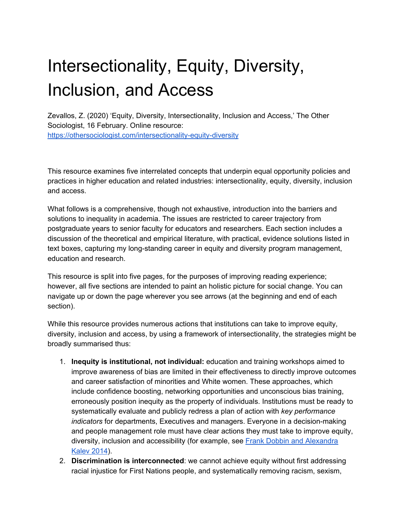# Intersectionality, Equity, Diversity, Inclusion, and Access

Zevallos, Z. (2020) 'Equity, Diversity, Intersectionality, Inclusion and Access,' The Other Sociologist, 16 February. Online resource: <https://othersociologist.com/intersectionality-equity-diversity>

This resource examines five interrelated concepts that underpin equal opportunity policies and practices in higher education and related industries: intersectionality, equity, diversity, inclusion and access.

What follows is a comprehensive, though not exhaustive, introduction into the barriers and solutions to inequality in academia. The issues are restricted to career trajectory from postgraduate years to senior faculty for educators and researchers. Each section includes a discussion of the theoretical and empirical literature, with practical, evidence solutions listed in text boxes, capturing my long-standing career in equity and diversity program management, education and research.

This resource is split into five pages, for the purposes of improving reading experience; however, all five sections are intended to paint an holistic picture for social change. You can navigate up or down the page wherever you see arrows (at the beginning and end of each section).

While this resource provides numerous actions that institutions can take to improve equity, diversity, inclusion and access, by using a framework of intersectionality, the strategies might be broadly summarised thus:

- 1. **Inequity is institutional, not individual:** education and training workshops aimed to improve awareness of bias are limited in their effectiveness to directly improve outcomes and career satisfaction of minorities and White women. These approaches, which include confidence boosting, networking opportunities and unconscious bias training, erroneously position inequity as the property of individuals. Institutions must be ready to systematically evaluate and publicly redress a plan of action with *key performance indicators* for departments, Executives and managers. Everyone in a decision-making and people management role must have clear actions they must take to improve equity, diversity, inclusion and accessibility (for example, se[e](https://scholar.harvard.edu/files/dobbin/files/why_firms_need_diversity_managers_and_taskforces.pdf) Frank Dobbin and [Alexandra](https://scholar.harvard.edu/files/dobbin/files/why_firms_need_diversity_managers_and_taskforces.pdf) **[Kalev](https://scholar.harvard.edu/files/dobbin/files/why_firms_need_diversity_managers_and_taskforces.pdf) 2014**).
- 2. **Discrimination is interconnected**: we cannot achieve equity without first addressing racial injustice for First Nations people, and systematically removing racism, sexism,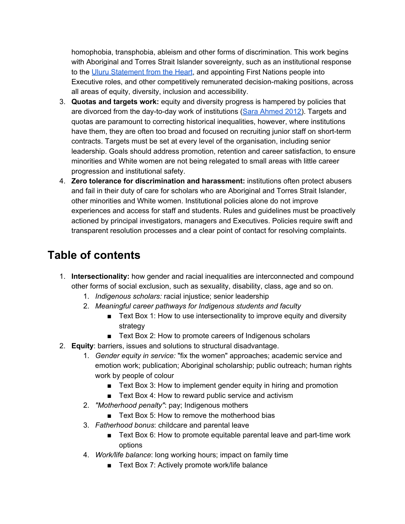homophobia, transphobia, ableism and other forms of discrimination. This work begins with Aboriginal and Torres Strait Islander sovereignty, such as an institutional response to the [U](https://www.referendumcouncil.org.au/sites/default/files/2017-05/Uluru_Statement_From_The_Heart_0.PDF)luru [Statement](https://www.referendumcouncil.org.au/sites/default/files/2017-05/Uluru_Statement_From_The_Heart_0.PDF) from the Heart, and appointing First Nations people into Executive roles, and other competitively remunerated decision-making positions, across all areas of equity, diversity, inclusion and accessibility.

- 3. **Quotas and targets work:** equity and diversity progress is hampered by policies that are divorced from the day-to-day work of institutions (Sara [Ahmed](https://www.dukeupress.edu/on-being-included) 2012). Targets and quotas are paramount to correcting historical inequalities, however, where institutions have them, they are often too broad and focused on recruiting junior staff on short-term contracts. Targets must be set at every level of the organisation, including senior leadership. Goals should address promotion, retention and career satisfaction, to ensure minorities and White women are not being relegated to small areas with little career progression and institutional safety.
- 4. **Zero tolerance for discrimination and harassment:** institutions often protect abusers and fail in their duty of care for scholars who are Aboriginal and Torres Strait Islander, other minorities and White women. Institutional policies alone do not improve experiences and access for staff and students. Rules and guidelines must be proactively actioned by principal investigators, managers and Executives. Policies require swift and transparent resolution processes and a clear point of contact for resolving complaints.

## **Table of contents**

- 1. **Intersectionality:** how gender and racial inequalities are interconnected and compound other forms of social exclusion, such as sexuality, disability, class, age and so on.
	- 1. *Indigenous scholars:* racial injustice; senior leadership
	- 2. *Meaningful career pathways for Indigenous students and faculty*
		- Text Box 1: How to use intersectionality to improve equity and diversity strategy
		- Text Box 2: How to promote careers of Indigenous scholars
- 2. **Equity**: barriers, issues and solutions to structural disadvantage.
	- 1. *Gender equity in service:* "fix the women" approaches; academic service and emotion work; publication; Aboriginal scholarship; public outreach; human rights work by people of colour
		- Text Box 3: How to implement gender equity in hiring and promotion
		- Text Box 4: How to reward public service and activism
	- 2. *"Motherhood penalty"*: pay; Indigenous mothers
		- Text Box 5: How to remove the motherhood bias
	- 3. *Fatherhood bonus*: childcare and parental leave
		- Text Box 6: How to promote equitable parental leave and part-time work options
	- 4. *Work/life balance*: long working hours; impact on family time
		- Text Box 7: Actively promote work/life balance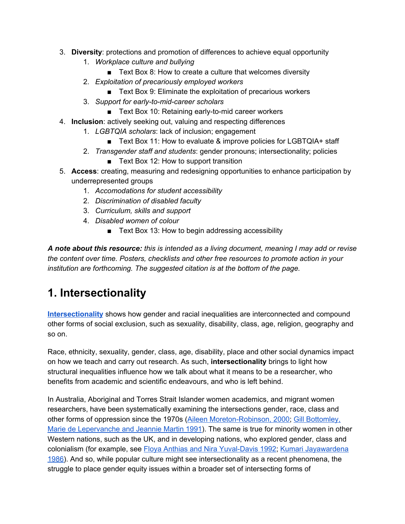- 3. **Diversity**: protections and promotion of differences to achieve equal opportunity
	- 1. *Workplace culture and bullying*
		- Text Box 8: How to create a culture that welcomes diversity
	- 2. *Exploitation of precariously employed workers*
		- Text Box 9: Eliminate the exploitation of precarious workers
	- 3. *Support for early-to-mid-career scholars*
		- Text Box 10: Retaining early-to-mid career workers
- 4. **Inclusion**: actively seeking out, valuing and respecting differences
	- 1. *LGBTQIA scholars*: lack of inclusion; engagement
		- Text Box 11: How to evaluate & improve policies for LGBTQIA+ staff
	- 2. *Transgender staff and students*: gender pronouns; intersectionality; policies ■ Text Box 12: How to support transition
- 5. **Access**: creating, measuring and redesigning opportunities to enhance participation by underrepresented groups
	- 1. *Accomodations for student accessibility*
	- 2. *Discrimination of disabled faculty*
	- 3. *Curriculum, skills and support*
	- 4. *Disabled women of colour*
		- Text Box 13: How to begin addressing accessibility

*A note about this resource: this is intended as a living document, meaning I may add or revise the content over time. Posters, checklists and other free resources to promote action in your institution are forthcoming. The suggested citation is at the bottom of the page.*

## **1. Intersectionality**

**[Intersectionality](http://chicagounbound.uchicago.edu/cgi/viewcontent.cgi?article=1052&context=uclf)** shows how gender and racial inequalities are interconnected and compound other forms of social exclusion, such as sexuality, disability, class, age, religion, geography and so on.

Race, ethnicity, sexuality, gender, class, age, disability, place and other social dynamics impact on how we teach and carry out research. As such, **intersectionality** brings to light how structural inequalities influence how we talk about what it means to be a researcher, who benefits from academic and scientific endeavours, and who is left behind.

In Australia, Aboriginal and Torres Strait Islander women academics, and migrant women researchers, have been systematically examining the intersections gender, race, class and other forms of oppression since the 1970s (Aileen [Moreton-Robinson,](https://www.amazon.com.au/Talkin-Up-White-Woman-Indigenous/dp/0702231347) 2000[;](https://www.amazon.com/Intersexions-Gender-Class-Culture-Ethnicity/dp/004442325X) Gill [Bottomley,](https://www.amazon.com/Intersexions-Gender-Class-Culture-Ethnicity/dp/004442325X) Marie de [Lepervanche](https://www.amazon.com/Intersexions-Gender-Class-Culture-Ethnicity/dp/004442325X) and Jeannie Martin 1991). The same is true for minority women in other Western nations, such as the UK, and in developing nations, who explored gender, class and colonialism (for example, see [F](https://www.amazon.com/Racialized-Boundaries-Nation-Anti-Racist-Struggle/dp/0415103886)loya Anthias and Nira [Yuval-Davis](https://www.amazon.com/Racialized-Boundaries-Nation-Anti-Racist-Struggle/dp/0415103886) 1992; [K](https://www.amazon.com/Feminism-Nationalism-Third-Feminist-Classics/dp/178478429X)umari [Jayawardena](https://www.amazon.com/Feminism-Nationalism-Third-Feminist-Classics/dp/178478429X) [1986\)](https://www.amazon.com/Feminism-Nationalism-Third-Feminist-Classics/dp/178478429X). And so, while popular culture might see intersectionality as a recent phenomena, the struggle to place gender equity issues within a broader set of intersecting forms of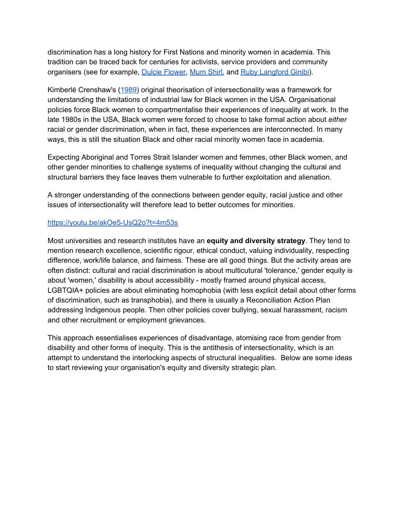discrimination has a long history for First Nations and minority women in academia. This tradition can be traced back for centuries for activists, service providers and community organisers (see for example, Dulcie [Flower,](https://indigenousrights.net.au/people/pagination/dulcie_flower) [Mum](http://ia.anu.edu.au/biography/smith-shirley-coleen-mum-shirl-17817) Shirl, and Ruby [Langford](https://en.wikipedia.org/wiki/Ruby_Langford_Ginibi) Ginibi).

Kimberlé Crenshaw's [\(1989\)](https://chicagounbound.uchicago.edu/cgi/viewcontent.cgi?article=1052&context=uclf) original theorisation of intersectionality was a framework for understanding the limitations of industrial law for Black women in the USA. Organisational policies force Black women to compartmentalise their experiences of inequality at work. In the late 1980s in the USA, Black women were forced to choose to take formal action about *either* racial or gender discrimination, when in fact, these experiences are interconnected. In many ways, this is still the situation Black and other racial minority women face in academia.

Expecting Aboriginal and Torres Strait Islander women and femmes, other Black women, and other gender minorities to challenge systems of inequality without changing the cultural and structural barriers they face leaves them vulnerable to further exploitation and alienation.

A stronger understanding of the connections between gender equity, racial justice and other issues of intersectionality will therefore lead to better outcomes for minorities.

#### <https://youtu.be/akOe5-UsQ2o?t=4m53s>

Most universities and research institutes have an **equity and diversity strategy**. They tend to mention research excellence, scientific rigour, ethical conduct, valuing individuality, respecting difference, work/life balance, and fairness. These are all good things. But the activity areas are often distinct: cultural and racial discrimination is about multicutural 'tolerance,' gender equity is about 'women,' disability is about accessibility - mostly framed around physical access, LGBTQIA+ policies are about eliminating homophobia (with less explicit detail about other forms of discrimination, such as transphobia), and there is usually a Reconciliation Action Plan addressing Indigenous people. Then other policies cover bullying, sexual harassment, racism and other recruitment or employment grievances.

This approach essentialises experiences of disadvantage, atomising race from gender from disability and other forms of inequity. This is the antithesis of intersectionality, which is an attempt to understand the interlocking aspects of structural inequalities. Below are some ideas to start reviewing your organisation's equity and diversity strategic plan.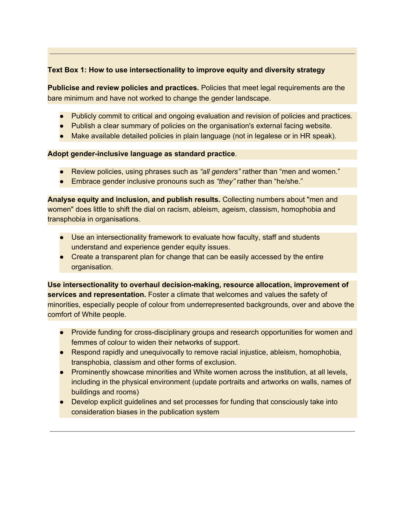#### **Text Box 1: How to use intersectionality to improve equity and diversity strategy**

**Publicise and review policies and practices.** Policies that meet legal requirements are the bare minimum and have not worked to change the gender landscape.

- Publicly commit to critical and ongoing evaluation and revision of policies and practices.
- Publish a clear summary of policies on the organisation's external facing website.
- Make available detailed policies in plain language (not in legalese or in HR speak).

#### **Adopt gender-inclusive language as standard practice**.

- Review policies, using phrases such as *"all genders"* rather than "men and women."
- Embrace gender inclusive pronouns such as *"they"* rather than "he/she."

**Analyse equity and inclusion, and publish results.** Collecting numbers about "men and women" does little to shift the dial on racism, ableism, ageism, classism, homophobia and transphobia in organisations.

- Use an intersectionality framework to evaluate how faculty, staff and students understand and experience gender equity issues.
- Create a transparent plan for change that can be easily accessed by the entire organisation.

**Use intersectionality to overhaul decision-making, resource allocation, improvement of services and representation.** Foster a climate that welcomes and values the safety of minorities, especially people of colour from underrepresented backgrounds, over and above the comfort of White people.

- Provide funding for cross-disciplinary groups and research opportunities for women and femmes of colour to widen their networks of support.
- Respond rapidly and unequivocally to remove racial injustice, ableism, homophobia, transphobia, classism and other forms of exclusion.
- Prominently showcase minorities and White women across the institution, at all levels, including in the physical environment (update portraits and artworks on walls, names of buildings and rooms)
- Develop explicit guidelines and set processes for funding that consciously take into consideration biases in the publication system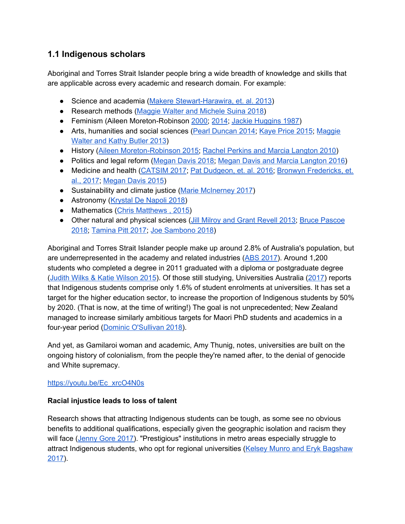## **1.1 Indigenous scholars**

Aboriginal and Torres Strait Islander people bring a wide breadth of knowledge and skills that are applicable across every academic and research domain. For example:

- Science and academia (Makere [Stewart-Harawira,](https://www.researchgate.net/publication/262487908_Unspeakable_Things_Indigenous_Research_and_Social_Science) et. al. 2013)
- Research methods (Maggie Walter and [Michele](https://www.tandfonline.com/doi/abs/10.1080/13645579.2018.1531228?journalCode=tsrm20) Suina 2018)
- Feminism (Aileen Moreton-Robinson [2000;](https://www.booktopia.com.au/talkin-up-to-the-white-woman-aileen-moreton-robinson/book/9780702231346.html) [2014](https://www.tandfonline.com/doi/abs/10.1080/08164649.2013.876664)[;](https://www.questia.com/library/journal/1P3-915346411/black-women-and-women-s-liberation) Jackie [Huggins](https://www.questia.com/library/journal/1P3-915346411/black-women-and-women-s-liberation) 1987)
- Arts, humanities and social sciences (Pearl [Duncan](https://espace.library.uq.edu.au/data/UQ_345997/s33652117_phd_submission_final.pdf?dsi_version=bea57ed6ef89f9faa3709844d26b15ab&Expires=1581824380&Key-Pair-Id=APKAJKNBJ4MJBJNC6NLQ&Signature=Xkkmk3gl4U-EjDVQfG4ofJnxozq7ImB1L1MgF5bHI9vU12RwVy8qzVxahb158QSvYPwtxMlPUdRfi9BUfW4jP1AqfH42ozQG0tWxXmsVOJ9B3vSCFU8H-EAdGDRGuVeSrl~4BBHhbwyt061Xuz7xb3~mdIMTFfifYcHJqH6gC8aszifhDD9i5IIXL0OSPMVZAt1c-mYdUAPhfO2kc1vUSVXNL2JLe1s8loC6aP6MHNXs2KZTDQw-QEAeKUKGAwFuYS1OYTceSL7TwJWh-bPEkmfDxtEdYBH1BSWEtt-7l8H873P-nB1hDa27mBhQqyFofFzeWzgACmZ8atFAR5aeqw__) 2014[;](https://www.amazon.com.au/Aboriginal-Torres-Strait-Islander-Education-ebook/dp/B010G0QD36) [Kaye](https://www.amazon.com.au/Aboriginal-Torres-Strait-Islander-Education-ebook/dp/B010G0QD36) Price 2015; [Maggie](https://journals.sagepub.com/doi/10.1177/1440783313504051) [Walter](https://journals.sagepub.com/doi/10.1177/1440783313504051) and Kathy Butler 2013)
- History (Aileen [Moreton-Robinson](https://www.booktopia.com.au/the-white-possessive-aileen-moreton-robinson/book/9780816692163.html) 2015; [R](https://www.mup.com.au/books/first-australians-unillustrated-electronic-book-text)achel Perkins and Marcia [Langton](https://www.mup.com.au/books/first-australians-unillustrated-electronic-book-text) 2010)
- Politics and legal reform [\(Megan](https://www.griffithreview.com/articles/long-road-uluru-walking-together-truth-before-justice-megan-davis/) Davis 2018; [M](https://www.mup.com.au/books/its-our-country-electronic-book-text)egan Davis and Marcia [Langton](https://www.mup.com.au/books/its-our-country-electronic-book-text) 2016)
- Medicine and health [\(CATSIM](https://www.catsinam.org.au/static/uploads/files/embedding-cultural-safety-accross-australian-nursing-and-midwifery-may-2017-wfca.pdf) 2017[;](https://www.atsispep.sis.uwa.edu.au/__data/assets/pdf_file/0006/2947299/ATSISPEP-Report-Final-Web.pdf) Pat [Dudgeon,](https://www.atsispep.sis.uwa.edu.au/__data/assets/pdf_file/0006/2947299/ATSISPEP-Report-Final-Web.pdf) et. al. 2016; Bronwyn [Fredericks,](https://eprints.qut.edu.au/115966/) et. al., [2017](https://eprints.qut.edu.au/115966/)[;](https://www.jstor.org/stable/43773665?seq=1) [Megan](https://www.jstor.org/stable/43773665?seq=1) Davis 2015)
- Sustainability and climate justice (Marie [McInerney](https://croakey.org/climate-justice-a-call-to-broaden-science-with-indigenous-knowledge/) 2017)
- Astronomy [\(Krystal](https://indigenousx.com.au/indigenous-astronomy-to-revitalise-the-australian-curriculum/) De Napoli 2018)
- Mathematics (Chris [Matthews](https://www.theguardian.com/commentisfree/2015/aug/28/forty-thousand-years-of-indigenous-maths-can-get-kids-into-numbers-today), 2015)
- Other natural and physical sciences (Jill Milroy and Grant [Revell](https://arcade.stanford.edu/occasion/aboriginal-story-systems-re-mapping-west-knowing-country-sharing-space) 2013[;](https://www.booktopia.com.au/dark-emu-bruce-pascoe/book/9781921248016.html) Bruce [Pascoe](https://www.booktopia.com.au/dark-emu-bruce-pascoe/book/9781921248016.html) [2018;](https://www.booktopia.com.au/dark-emu-bruce-pascoe/book/9781921248016.html) [Tamina](https://www.theguardian.com/commentisfree/2017/dec/14/indigenous-australians-are-the-original-engineers-why-are-there-not-more-of-us) Pitt 2017; [J](https://indigenousx.com.au/indigenous-science-goes-far-beyond-boomerangs-and-spears/)oe [Sambono](https://indigenousx.com.au/indigenous-science-goes-far-beyond-boomerangs-and-spears/) 2018)

Aboriginal and Torres Strait Islander people make up around 2.8% of Australia's population, but are underrepresented in the academy and related industries (ABS [2017\)](http://www.abs.gov.au/ausstats/abs@.nsf/MediaRealesesByCatalogue/02D50FAA9987D6B7CA25814800087E03?OpenDocument). Around 1,200 students who completed a degree in 2011 graduated with a diploma or postgraduate degree (Judith Wilks & Katie [Wilson](https://files.eric.ed.gov/fulltext/EJ1073611.pdf) 2015). Of those still studying, Universities Australia [\(2017](https://www.universitiesaustralia.edu.au/Media-and-Events/media-releases/Universities-unveil-indigenous-participation-targets#.WqTavShuYRk)) reports that Indigenous students comprise only 1.6% of student enrolments at universities. It has set a target for the higher education sector, to increase the proportion of Indigenous students by 50% by 2020. (That is now, at the time of writing!) The goal is not unprecedented; New Zealand managed to increase similarly ambitious targets for Maori PhD students and academics in a four-year period (Dominic [O'Sullivan](https://theconversation.com/australia-could-look-to-new-zealand-to-increase-the-number-of-indigenous-academics-and-students-92174) 2018).

And yet, as Gamilaroi woman and academic, Amy Thunig, notes, universities are built on the ongoing history of colonialism, from the people they're named after, to the denial of genocide and White supremacy.

#### [https://youtu.be/Ec\\_xrcO4N0s](https://youtu.be/Ec_xrcO4N0s)

#### **Racial injustice leads to loss of talent**

Research shows that attracting Indigenous students can be tough, as some see no obvious benefits to additional qualifications, especially given the geographic isolation and racism they will face ([Jenny](https://theconversation.com/why-many-high-achieving-indigenous-students-are-shunning-university-79749) Gore 2017). "Prestigious" institutions in metro areas especially struggle to attract Indigenous students, who opt for regional universities (Kelsey Munro and Eryk [Bagshaw](https://www.smh.com.au/education/indigenous-enrolments-at-university-increase-but-prestige-institutions-lag-20170204-gu5jtm.html) [2017\)](https://www.smh.com.au/education/indigenous-enrolments-at-university-increase-but-prestige-institutions-lag-20170204-gu5jtm.html).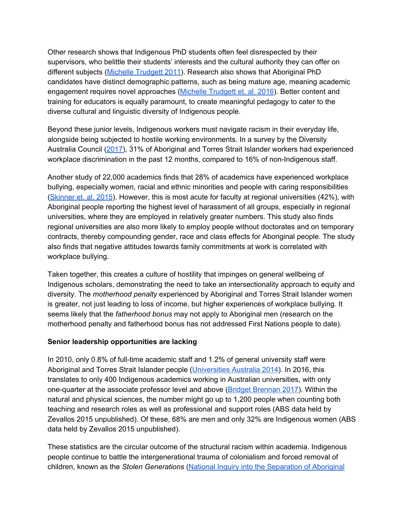Other research shows that Indigenous PhD students often feel disrespected by their supervisors, who belittle their students' interests and the cultural authority they can offer on different subjects (Michelle [Trudgett](https://www.tandfonline.com/doi/abs/10.1080/13562517.2011.560376) 2011). Research also shows that Aboriginal PhD candidates have distinct demographic patterns, such as being mature age, meaning academic engagement requires novel approaches (Michelle [Trudgett](https://www.cambridge.org/core/journals/australian-journal-of-indigenous-education/article/brilliant-minds-a-snapshot-of-successful-indigenous-australian-doctoral-students/AA71AAB503F3566780BB7B18A2281EE1) et. al. 2016). Better content and training for educators is equally paramount, to create meaningful pedagogy to cater to the diverse cultural and linguistic diversity of Indigenous people.

Beyond these junior levels, Indigenous workers must navigate racism in their everyday life, alongside being subjected to hostile working environments. In a survey by the Diversity Australia Council [\(2017\)](https://www.dca.org.au/sites/default/files/dca-suncorp_inclusionwork_index_synopsis_final.pdf), 31% of Aboriginal and Torres Strait Islander workers had experienced workplace discrimination in the past 12 months, compared to 16% of non-Indigenous staff.

Another study of 22,000 academics finds that 28% of academics have experienced workplace bullying, especially women, racial and ethnic minorities and people with caring responsibilities ([Skinner](https://www.tandfonline.com/doi/full/10.1080/1360080X.2015.1079400#.ViB_xBArJBw) et. al. 2015). However, this is most acute for faculty at regional universities (42%), with Aboriginal people reporting the highest level of harassment of all groups, especially in regional universities, where they are employed in relatively greater numbers. This study also finds regional universities are also more likely to employ people without doctorates and on temporary contracts, thereby compounding gender, race and class effects for Aboriginal people. The study also finds that negative attitudes towards family commitments at work is correlated with workplace bullying.

Taken together, this creates a culture of hostility that impinges on general wellbeing of Indigenous scholars, demonstrating the need to take an intersectionality approach to equity and diversity. The *motherhood penalty* experienced by Aboriginal and Torres Strait Islander women is greater, not just leading to loss of income, but higher experiences of workplace bullying. It seems likely that the *fatherhood bonus* may not apply to Aboriginal men (research on the motherhood penalty and fatherhood bonus has not addressed First Nations people to date).

#### **Senior leadership opportunities are lacking**

In 2010, only 0.8% of full-time academic staff and 1.2% of general university staff were Aboriginal and Torres Strait Islander people ([Universities](https://www.universitiesaustralia.edu.au/uni-participation-quality/Indigenous-Higher-Education#.WqTnVShuYRl) Australia 2014). In 2016, this translates to only 400 Indigenous academics working in Australian universities, with only one-quarter at the associate professor level and above (Bridget [Brennan](http://www.abc.net.au/news/2017-03-01/universities-australia-indigenous-strategy/8313116) 2017). Within the natural and physical sciences, the number might go up to 1,200 people when counting both teaching and research roles as well as professional and support roles (ABS data held by Zevallos 2015 unpublished). Of these, 68% are men and only 32% are Indigenous women (ABS data held by Zevallos 2015 unpublished).

These statistics are the circular outcome of the structural racism within academia. Indigenous people continue to battle the intergenerational trauma of colonialism and forced removal of children, known as the *Stolen Generations* (National Inquiry into the [Separation](https://www.humanrights.gov.au/our-work/aboriginal-and-torres-strait-islander-social-justice/publications/bringing-them-home-stolen) of Aboriginal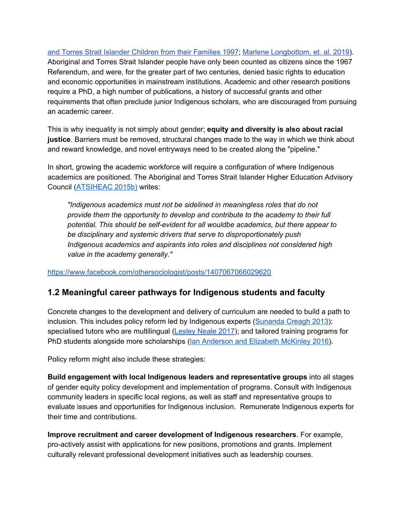and Torres Strait Islander [Children](https://www.humanrights.gov.au/our-work/aboriginal-and-torres-strait-islander-social-justice/publications/bringing-them-home-stolen) from their Families 1997[;](https://www.thelancet.com/journals/lancet/article/PIIS0140-6736(19)30252-1/fulltext) Marlene [Longbottom,](https://www.thelancet.com/journals/lancet/article/PIIS0140-6736(19)30252-1/fulltext) et. al. 2019). Aboriginal and Torres Strait Islander people have only been counted as citizens since the 1967 Referendum, and were, for the greater part of two centuries, denied basic rights to education and economic opportunities in mainstream institutions. Academic and other research positions require a PhD, a high number of publications, a history of successful grants and other requirements that often preclude junior Indigenous scholars, who are discouraged from pursuing an academic career.

This is why inequality is not simply about gender; **equity and diversity is also about racial justice**. Barriers must be removed, structural changes made to the way in which we think about and reward knowledge, and novel entryways need to be created along the "pipeline."

In short, growing the academic workforce will require a configuration of where Indigenous academics are positioned. The Aboriginal and Torres Strait Islander Higher Education Advisory Council ([ATSIHEAC](https://docs.education.gov.au/system/files/doc/other/atsiheac_academic_workforce_paper.pdf) 2015b) writes:

*"Indigenous academics must not be sidelined in meaningless roles that do not provide them the opportunity to develop and contribute to the academy to their full potential. This should be self-evident for all wouldbe academics, but there appear to be disciplinary and systemic drivers that serve to disproportionately push Indigenous academics and aspirants into roles and disciplines not considered high value in the academy generally."*

<https://www.facebook.com/othersociologist/posts/1407067066029620>

### **1.2 Meaningful career pathways for Indigenous students and faculty**

Concrete changes to the development and delivery of curriculum are needed to build a path to inclusion. This includes policy reform led by Indigenous experts [\(Sunanda](https://theconversation.com/new-research-network-aims-to-boost-indigenous-phd-completion-rates-15949) Creagh 2013); specialised tutors who are multilingual ([Lesley](https://theconversation.com/tutors-are-key-to-reducing-indigenous-student-drop-out-rates-86130) Neale 2017); and tailored training programs for PhD students alongside more scholarships (Ian [Anderson](https://theconversation.com/three-ways-to-increase-the-number-of-indigenous-academics-in-australian-universities-55655) and Elizabeth McKinley 2016).

Policy reform might also include these strategies:

**Build engagement with local Indigenous leaders and representative groups** into all stages of gender equity policy development and implementation of programs. Consult with Indigenous community leaders in specific local regions, as well as staff and representative groups to evaluate issues and opportunities for Indigenous inclusion. Remunerate Indigenous experts for their time and contributions.

**Improve recruitment and career development of Indigenous researchers**. For example, pro-actively assist with applications for new positions, promotions and grants. Implement culturally relevant professional development initiatives such as leadership courses.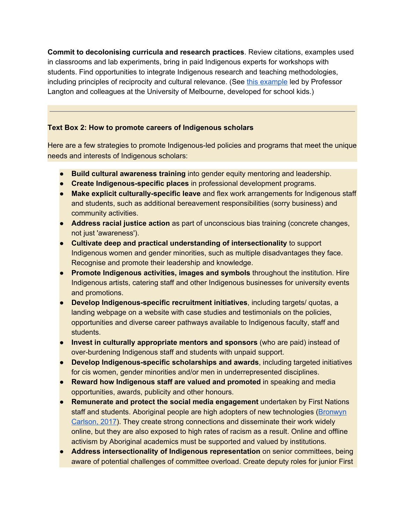**Commit to decolonising curricula and research practices**. Review citations, examples used in classrooms and lab experiments, bring in paid Indigenous experts for workshops with students. Find opportunities to integrate Indigenous research and teaching methodologies, including principles of reciprocity and cultural relevance. (See [t](https://indigenousknowledge.research.unimelb.edu.au/themes)his [example](https://indigenousknowledge.research.unimelb.edu.au/themes) led by Professor Langton and colleagues at the University of Melbourne, developed for school kids.)

#### **Text Box 2: How to promote careers of Indigenous scholars**

Here are a few strategies to promote Indigenous-led policies and programs that meet the unique needs and interests of Indigenous scholars:

- **Build cultural awareness training** into gender equity mentoring and leadership.
- **Create Indigenous-specific places** in professional development programs.
- **Make explicit culturally-specific leave** and flex work arrangements for Indigenous staff and students, such as additional bereavement responsibilities (sorry business) and community activities.
- **Address racial justice action** as part of unconscious bias training (concrete changes, not just 'awareness').
- **Cultivate deep and practical understanding of intersectionality** to support Indigenous women and gender minorities, such as multiple disadvantages they face. Recognise and promote their leadership and knowledge.
- **Promote Indigenous activities, images and symbols** throughout the institution. Hire Indigenous artists, catering staff and other Indigenous businesses for university events and promotions.
- **Develop Indigenous-specific recruitment initiatives**, including targets/ quotas, a landing webpage on a website with case studies and testimonials on the policies, opportunities and diverse career pathways available to Indigenous faculty, staff and students.
- **Invest in culturally appropriate mentors and sponsors** (who are paid) instead of over-burdening Indigenous staff and students with unpaid support.
- **Develop Indigenous-specific scholarships and awards**, including targeted initiatives for cis women, gender minorities and/or men in underrepresented disciplines.
- **Reward how Indigenous staff are valued and promoted** in speaking and media opportunities, awards, publicity and other honours.
- **Remunerate and protect the social media engagement** undertaken by First Nations staff and students. Aboriginal people are high adopters of new technologies ([Bronwyn](https://indigenousx.com.au/why-are-indigenous-people-such-avid-users-of-social-media/) [Carlson,](https://indigenousx.com.au/why-are-indigenous-people-such-avid-users-of-social-media/) 2017). They create strong connections and disseminate their work widely online, but they are also exposed to high rates of racism as a result. Online and offline activism by Aboriginal academics must be supported and valued by institutions.
- **Address intersectionality of Indigenous representation** on senior committees, being aware of potential challenges of committee overload. Create deputy roles for junior First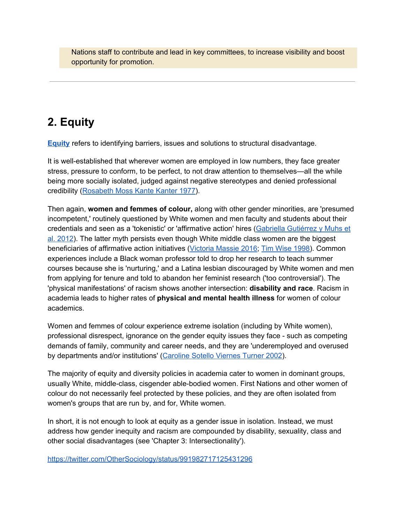Nations staff to contribute and lead in key committees, to increase visibility and boost opportunity for promotion.

## **2. Equity**

**[Equity](https://www.nap.edu/read/12190/chapter/12)** refers to identifying barriers, issues and solutions to structural disadvantage.

It is well-established that wherever women are employed in low numbers, they face greater stress, pressure to conform, to be perfect, to not draw attention to themselves—all the while being more socially isolated, judged against negative stereotypes and denied professional credibility [\(Rosabeth](https://www.amazon.com/Women-Corporation-Rosabeth-Moss-Kanter/dp/0465044549) Moss Kante Kanter 1977).

Then again, **women and femmes of colour,** along with other gender minorities, are 'presumed incompetent,' routinely questioned by White women and men faculty and students about their credentials and seen as a 'tokenistic' or 'affirmative action' hires (Gabriella [Gutiérrez](https://www.amazon.com/Presumed-Incompetent-Intersections-Class-Academia/dp/0874219221) y Muhs et al. [2012](https://www.amazon.com/Presumed-Incompetent-Intersections-Class-Academia/dp/0874219221)). The latter myth persists even though White middle class women are the biggest beneficiaries of affirmative action initiatives [\(Victoria](https://www.vox.com/2016/5/25/11682950/fisher-supreme-court-white-women-affirmative-action) Massie 2016[;](https://www.jstor.org/stable/4316599?seq=1#page_scan_tab_contents) Tim Wise [1998\)](https://www.jstor.org/stable/4316599?seq=1#page_scan_tab_contents). Common experiences include a Black woman professor told to drop her research to teach summer courses because she is 'nurturing,' and a Latina lesbian discouraged by White women and men from applying for tenure and told to abandon her feminist research ('too controversial'). The 'physical manifestations' of racism shows another intersection: **disability and race**. Racism in academia leads to higher rates of **physical and mental health illness** for women of colour academics.

Women and femmes of colour experience extreme isolation (including by White women), professional disrespect, ignorance on the gender equity issues they face - such as competing demands of family, community and career needs, and they are 'underemployed and overused by departments and/or institutions' ([Caroline](https://www.researchgate.net/profile/Caroline_Turner4/publication/236813152_Women_of_Color_in_Academe_Living_with_Multiple_Marginality/links/5491a36c0cf2f3c6657b7001.pdf) Sotello Viernes Turner 2002).

The majority of equity and diversity policies in academia cater to women in dominant groups, usually White, middle-class, cisgender able-bodied women. First Nations and other women of colour do not necessarily feel protected by these policies, and they are often isolated from women's groups that are run by, and for, White women.

In short, it is not enough to look at equity as a gender issue in isolation. Instead, we must address how gender inequity and racism are compounded by disability, sexuality, class and other social disadvantages (see 'Chapter 3: Intersectionality').

<https://twitter.com/OtherSociology/status/991982717125431296>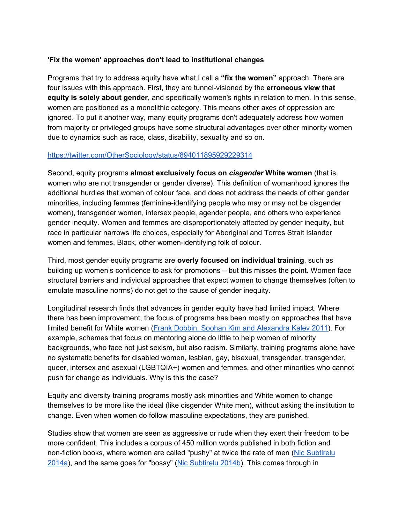#### **'Fix the women' approaches don't lead to institutional changes**

Programs that try to address equity have what I call a **"fix the women"** approach. There are four issues with this approach. First, they are tunnel-visioned by the **erroneous view that equity is solely about gender**, and specifically women's rights in relation to men. In this sense, women are positioned as a monolithic category. This means other axes of oppression are ignored. To put it another way, many equity programs don't adequately address how women from majority or privileged groups have some structural advantages over other minority women due to dynamics such as race, class, disability, sexuality and so on.

#### <https://twitter.com/OtherSociology/status/894011895929229314>

Second, equity programs **almost exclusively focus on** *cisgender* **White women** (that is, women who are not transgender or gender diverse). This definition of womanhood ignores the additional hurdles that women of colour face, and does not address the needs of other gender minorities, including femmes (feminine-identifying people who may or may not be cisgender women), transgender women, intersex people, agender people, and others who experience gender inequity. Women and femmes are disproportionately affected by gender inequity, but race in particular narrows life choices, especially for Aboriginal and Torres Strait Islander women and femmes, Black, other women-identifying folk of colour.

Third, most gender equity programs are **overly focused on individual training**, such as building up women's confidence to ask for promotions – but this misses the point. Women face structural barriers and individual approaches that expect women to change themselves (often to emulate masculine norms) do not get to the cause of gender inequity.

Longitudinal research finds that advances in gender equity have had limited impact. Where there has been improvement, the focus of programs has been mostly on approaches that have limited benefit for White women (Frank Dobbin, Soohan Kim and [Alexandra](https://scholar.harvard.edu/files/dobbin/files/link_asr_2011.pdf) Kalev 2011). For example, schemes that focus on mentoring alone do little to help women of minority backgrounds, who face not just sexism, but also racism. Similarly, training programs alone have no systematic benefits for disabled women, lesbian, gay, bisexual, transgender, transgender, queer, intersex and asexual (LGBTQIA+) women and femmes, and other minorities who cannot push for change as individuals. Why is this the case?

Equity and diversity training programs mostly ask minorities and White women to change themselves to be more like the ideal (like cisgender White men), without asking the institution to change. Even when women do follow masculine expectations, they are punished.

Studies show that women are seen as aggressive or rude when they exert their freedom to be more confident. This includes a corpus of 450 million words published in both fiction and non-fiction books, where women are called "pushy" at twice the rate of men (Nic [Subtirelu](https://linguisticpulse.com/2014/05/19/beyond-bossy-more-on-our-gendered-characterizations-of-leadership-and-authority/) [2014a\)](https://linguisticpulse.com/2014/05/19/beyond-bossy-more-on-our-gendered-characterizations-of-leadership-and-authority/), and the same goes for "bossy" (Nic [Subtirelu](https://linguisticpulse.com/2014/05/19/beyond-bossy-more-on-our-gendered-characterizations-of-leadership-and-authority/) 2014b). This comes through in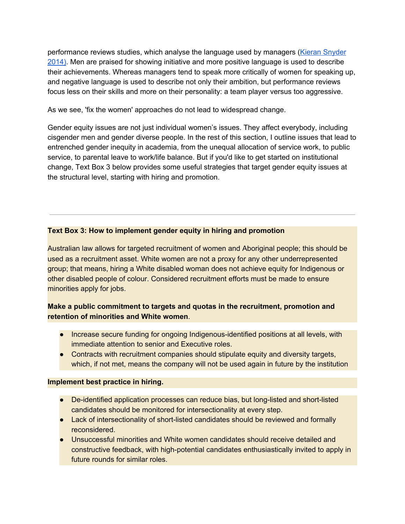performance reviews studies, which analyse the language used by managers (Kieran [Snyder](http://fortune.com/2014/08/26/performance-review-gender-bias/) [2014\)](http://fortune.com/2014/08/26/performance-review-gender-bias/). Men are praised for showing initiative and more positive language is used to describe their achievements. Whereas managers tend to speak more critically of women for speaking up, and negative language is used to describe not only their ambition, but performance reviews focus less on their skills and more on their personality: a team player versus too aggressive.

As we see, 'fix the women' approaches do not lead to widespread change.

Gender equity issues are not just individual women's issues. They affect everybody, including cisgender men and gender diverse people. In the rest of this section, I outline issues that lead to entrenched gender inequity in academia, from the unequal allocation of service work, to public service, to parental leave to work/life balance. But if you'd like to get started on institutional change, Text Box 3 below provides some useful strategies that target gender equity issues at the structural level, starting with hiring and promotion.

#### **Text Box 3: How to implement gender equity in hiring and promotion**

Australian law allows for targeted recruitment of women and Aboriginal people; this should be used as a recruitment asset. White women are not a proxy for any other underrepresented group; that means, hiring a White disabled woman does not achieve equity for Indigenous or other disabled people of colour. Considered recruitment efforts must be made to ensure minorities apply for jobs.

#### **Make a public commitment to targets and quotas in the recruitment, promotion and retention of minorities and White women**.

- Increase secure funding for ongoing Indigenous-identified positions at all levels, with immediate attention to senior and Executive roles.
- Contracts with recruitment companies should stipulate equity and diversity targets, which, if not met, means the company will not be used again in future by the institution

#### **Implement best practice in hiring.**

- De-identified application processes can reduce bias, but long-listed and short-listed candidates should be monitored for intersectionality at every step.
- Lack of intersectionality of short-listed candidates should be reviewed and formally reconsidered.
- Unsuccessful minorities and White women candidates should receive detailed and constructive feedback, with high-potential candidates enthusiastically invited to apply in future rounds for similar roles.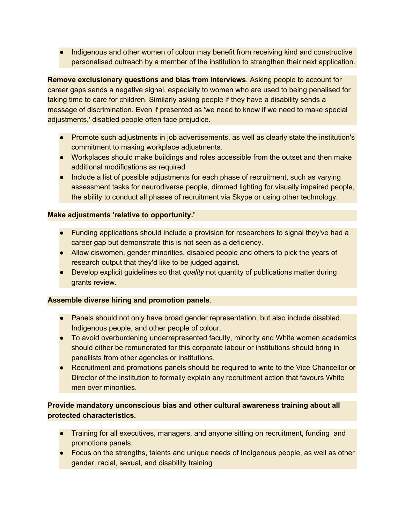Indigenous and other women of colour may benefit from receiving kind and constructive personalised outreach by a member of the institution to strengthen their next application.

**Remove exclusionary questions and bias from interviews**. Asking people to account for career gaps sends a negative signal, especially to women who are used to being penalised for taking time to care for children. Similarly asking people if they have a disability sends a message of discrimination. Even if presented as 'we need to know if we need to make special adjustments,' disabled people often face prejudice.

- Promote such adjustments in job advertisements, as well as clearly state the institution's commitment to making workplace adjustments.
- Workplaces should make buildings and roles accessible from the outset and then make additional modifications as required
- Include a list of possible adjustments for each phase of recruitment, such as varying assessment tasks for neurodiverse people, dimmed lighting for visually impaired people, the ability to conduct all phases of recruitment via Skype or using other technology.

#### **Make adjustments 'relative to opportunity.'**

- Funding applications should include a provision for researchers to signal they've had a career gap but demonstrate this is not seen as a deficiency.
- Allow ciswomen, gender minorities, disabled people and others to pick the years of research output that they'd like to be judged against.
- Develop explicit guidelines so that *quality* not quantity of publications matter during grants review.

#### **Assemble diverse hiring and promotion panels**.

- Panels should not only have broad gender representation, but also include disabled, Indigenous people, and other people of colour.
- To avoid overburdening underrepresented faculty, minority and White women academics should either be remunerated for this corporate labour or institutions should bring in panellists from other agencies or institutions.
- Recruitment and promotions panels should be required to write to the Vice Chancellor or Director of the institution to formally explain any recruitment action that favours White men over minorities.

#### **Provide mandatory unconscious bias and other cultural awareness training about all protected characteristics.**

- Training for all executives, managers, and anyone sitting on recruitment, funding and promotions panels.
- Focus on the strengths, talents and unique needs of Indigenous people, as well as other gender, racial, sexual, and disability training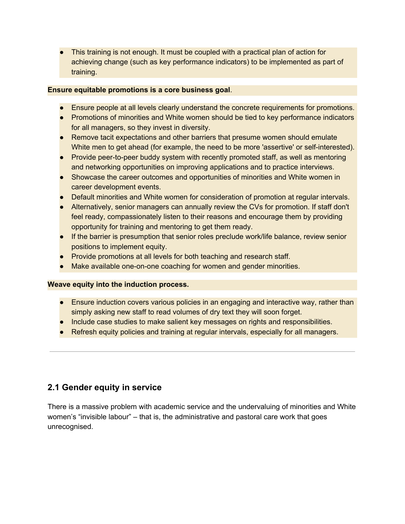● This training is not enough. It must be coupled with a practical plan of action for achieving change (such as key performance indicators) to be implemented as part of training.

#### **Ensure equitable promotions is a core business goal**.

- Ensure people at all levels clearly understand the concrete requirements for promotions.
- Promotions of minorities and White women should be tied to key performance indicators for all managers, so they invest in diversity.
- Remove tacit expectations and other barriers that presume women should emulate White men to get ahead (for example, the need to be more 'assertive' or self-interested).
- Provide peer-to-peer buddy system with recently promoted staff, as well as mentoring and networking opportunities on improving applications and to practice interviews.
- Showcase the career outcomes and opportunities of minorities and White women in career development events.
- Default minorities and White women for consideration of promotion at regular intervals.
- Alternatively, senior managers can annually review the CVs for promotion. If staff don't feel ready, compassionately listen to their reasons and encourage them by providing opportunity for training and mentoring to get them ready.
- If the barrier is presumption that senior roles preclude work/life balance, review senior positions to implement equity.
- Provide promotions at all levels for both teaching and research staff.
- Make available one-on-one coaching for women and gender minorities.

#### **Weave equity into the induction process.**

- Ensure induction covers various policies in an engaging and interactive way, rather than simply asking new staff to read volumes of dry text they will soon forget.
- **Include case studies to make salient key messages on rights and responsibilities.**
- Refresh equity policies and training at regular intervals, especially for all managers.

### **2.1 Gender equity in service**

There is a massive problem with academic service and the undervaluing of minorities and White women's "invisible labour" – that is, the administrative and pastoral care work that goes unrecognised.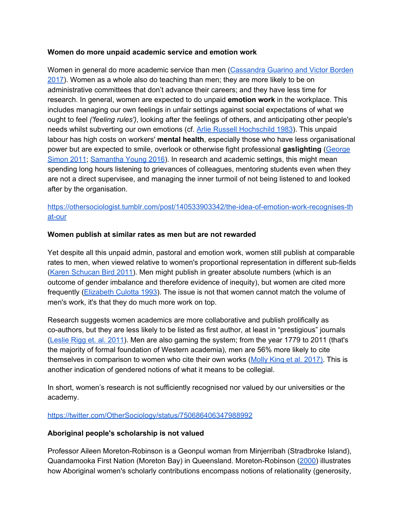#### **Women do more unpaid academic service and emotion work**

Women in general do more academic service than men [\(Cassandra](https://link.springer.com/article/10.1007/s11162-017-9454-2?wt_mc=Internal.Event.1.SEM.ArticleAuthorOnlineFirst) Guarino and Victor Borden [2017\)](https://link.springer.com/article/10.1007/s11162-017-9454-2?wt_mc=Internal.Event.1.SEM.ArticleAuthorOnlineFirst). Women as a whole also do teaching than men; they are more likely to be on administrative committees that don't advance their careers; and they have less time for research. In general, women are expected to do unpaid **emotion work** in the workplace. This includes managing our own feelings in unfair settings against social expectations of what we ought to feel *('feeling rules')*, looking after the feelings of others, and anticipating other people's needs whilst subverting our own emotions (cf. [A](https://www.ucpress.edu/book/9780520272941/the-managed-heart)rlie Russell [Hochschild](https://www.ucpress.edu/book/9780520272941/the-managed-heart) 1983). This unpaid labour has high costs on workers' **mental health**, especially those who have less organisational power but are expected to smile, overlook or otherwise fight professional **gaslighting** ([George](https://counsellingresource.com/features/2011/11/08/gaslighting/) [Simon](https://counsellingresource.com/features/2011/11/08/gaslighting/) 2011; [Samantha](https://www.linkedin.com/pulse/gaslighting-work-when-you-think-going-crazy-samantha-young/) Young 2016). In research and academic settings, this might mean spending long hours listening to grievances of colleagues, mentoring students even when they are not a direct supervisee, and managing the inner turmoil of not being listened to and looked after by the organisation.

#### [https://othersociologist.tumblr.com/post/140533903342/the-idea-of-emotion-work-recognises-th](https://othersociologist.tumblr.com/post/140533903342/the-idea-of-emotion-work-recognises-that-our) [at-our](https://othersociologist.tumblr.com/post/140533903342/the-idea-of-emotion-work-recognises-that-our)

#### **Women publish at similar rates as men but are not rewarded**

Yet despite all this unpaid admin, pastoral and emotion work, women still publish at comparable rates to men, when viewed relative to women's proportional representation in different sub-fields (Karen [Schucan](https://www.tandfonline.com/doi/abs/10.1080/01425692.2011.596387) Bird 2011). Men might publish in greater absolute numbers (which is an outcome of gender imbalance and therefore evidence of inequity), but women are cited more frequently ([Elizabeth](https://www.the-scientist.com/?articles.view/articleNo/17145/title/Study--Male-Scientists-Publish-More--Women-Cited-More/) Culotta 1993). The issue is not that women cannot match the volume of men's work, it's that they do much more work on top.

Research suggests women academics are more collaborative and publish prolifically as co-authors, but they are less likely to be listed as first author, at least in "prestigious" journals ([Leslie](https://www.tandfonline.com/doi/full/10.1080/00330124.2011.611434?src=recsys) Rigg et. al. 2011). Men are also gaming the system; from the year 1779 to 2011 (that's the majority of formal foundation of Western academia), men are 56% more likely to cite themselves in comparison to women who cite their own works (Molly King et al. [2017\)](https://arxiv.org/abs/1607.00376). This is another indication of gendered notions of what it means to be collegial.

In short, women's research is not sufficiently recognised nor valued by our universities or the academy.

#### <https://twitter.com/OtherSociology/status/750686406347988992>

#### **Aboriginal people's scholarship is not valued**

Professor Aileen Moreton-Robinson is a Geonpul woman from Minjerribah (Stradbroke Island), Quandamooka First Nation (Moreton Bay) in Queensland. Moreton-Robinson [\(2000\)](https://www.amazon.com.au/Talkin-Up-White-Woman-Indigenous/dp/0702231347) illustrates how Aboriginal women's scholarly contributions encompass notions of relationality (generosity,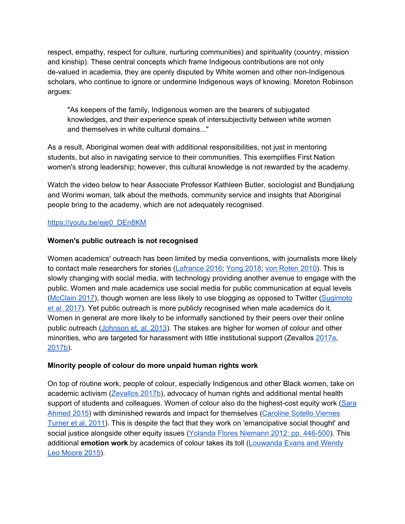respect, empathy, respect for culture, nurturing communities) and spirituality (country, mission and kinship). These central concepts which frame Indigeous contributions are not only de-valued in academia, they are openly disputed by White women and other non-Indigenous scholars, who continue to ignore or undermine Indigenous ways of knowing. Moreton Robinson argues:

"As keepers of the family, Indigenous women are the bearers of subjugated knowledges, and their experience speak of intersubjectivity between white women and themselves in white cultural domains..."

As a result, Aboriginal women deal with additional responsibilities, not just in mentoring students, but also in navigating service to their communities. This exemplifies First Nation women's strong leadership; however, this cultural knowledge is not rewarded by the academy.

Watch the video below to hear Associate Professor Kathleen Butler, sociologist and Bundjalung and Worimi woman, talk about the methods, community service and insights that Aboriginal people bring to the academy, which are not adequately recognised.

#### [https://youtu.be/eje0\\_DEn8KM](https://youtu.be/eje0_DEn8KM)

#### **Women's public outreach is not recognised**

Women academics' outreach has been limited by media conventions, with journalists more likely to contact male researchers for stories ([Lafrance](https://www.theatlantic.com/technology/archive/2016/02/gender-diversity-journalism/463023/) 2016; [Yong](https://www.theatlantic.com/science/archive/2018/02/i-spent-two-years-trying-to-fix-the-gender-imbalance-in-my-stories/552404/) 2018[;](http://journals.sagepub.com/doi/abs/10.1177/1075547010378658) von [Roten](http://journals.sagepub.com/doi/abs/10.1177/1075547010378658) 2010). This is slowly changing with social media, with technology providing another avenue to engage with the public. Women and male academics use social media for public communication at equal levels ([McClain](https://journals.plos.org/plosbiology/article?id=10.1371/journal.pbio.2002020) 2017), though women are less likely to use blogging as opposed to Twitter [\(Sugimoto](https://onlinelibrary.wiley.com/doi/abs/10.1002/asi.23833) et al. [2017](https://onlinelibrary.wiley.com/doi/abs/10.1002/asi.23833)). Yet public outreach is more publicly recognised when male academics do it. Women in general are more likely to be informally sanctioned by their peers over their online public outreach [\(Johnson](https://www.researchgate.net/profile/Anne_Lincoln/publication/257514003_Narratives_of_Science_Outreach_in_Elite_Contexts_of_Academic_Science/links/004635282a1be182d2000000/Narratives-of-Science-Outreach-in-Elite-Contexts-of-Academic-Science.pdf) et. al. 2013). The stakes are higher for women of colour and other minorities, who are targeted for harassment with little institutional support (Zevallos [2017a](https://othersociologist.com/sociology-public-harassment-prevention-policies/), [2017b\)](https://othersociologist.com/2017/07/06/activist-academics-public-harassment/).

#### **Minority people of colour do more unpaid human rights work**

On top of routine work, people of colour, especially Indigenous and other Black women, take on academic activism ([Zevallos](http://othersociologist.com/2017/07/06/activist-academics-public-harassment/) 2017b), advocacy of human rights and additional mental health support of students and colleagues. Women of colour also do the highest-cost equity work [\(Sara](https://feministkilljoys.com/2015/11/26/women-of-colour-as-diversity-workers/comment-page-1/) [Ahmed](https://feministkilljoys.com/2015/11/26/women-of-colour-as-diversity-workers/comment-page-1/) 2015) with diminished rewards and impact for themselves ([Caroline](http://psycnet.apa.org/record/2011-17452-001) Sotello Viernes [Turner](http://psycnet.apa.org/record/2011-17452-001) et al. 2011). This is despite the fact that they work on 'emancipative social thought' and social justice alongside other equity issues (Yolanda Flores [Niemann](https://www.amazon.com/Presumed-Incompetent-Intersections-Class-Academia/dp/0874219221) 2012: pp. 446-500). This additional **emotion work** by academics of colour takes its toll [\(Louwanda](https://academic.oup.com/socpro/article/62/3/439/1637635) Evans and Wendy Leo [Moore](https://academic.oup.com/socpro/article/62/3/439/1637635) 2015).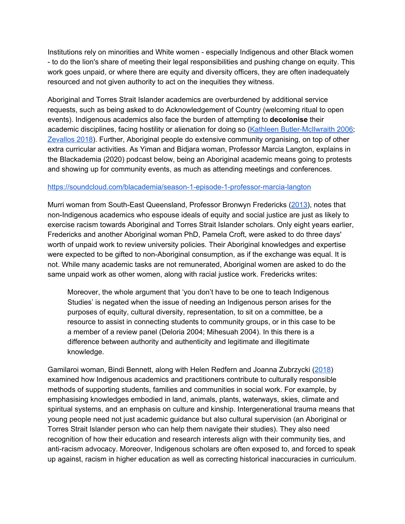Institutions rely on minorities and White women - especially Indigenous and other Black women - to do the lion's share of meeting their legal responsibilities and pushing change on equity. This work goes unpaid, or where there are equity and diversity officers, they are often inadequately resourced and not given authority to act on the inequities they witness.

Aboriginal and Torres Strait Islander academics are overburdened by additional service requests, such as being asked to do Acknowledgement of Country (welcoming ritual to open events). Indigenous academics also face the burden of attempting to **decolonise** their academic disciplines, facing hostility or alienation for doing so (Kathleen [Butler-McIlwraith](https://journals.sagepub.com/doi/abs/10.1177/1440783306069994) 2006; [Zevallos](https://othersociologist.com/2018/01/06/indigenous-sociology-for-social-impact/) 2018). Further, Aboriginal people do extensive community organising, on top of other extra curricular activities. As Yiman and Bidjara woman, Professor Marcia Langton, explains in the Blackademia (2020) podcast below, being an Aboriginal academic means going to protests and showing up for community events, as much as attending meetings and conferences.

#### <https://soundcloud.com/blacademia/season-1-episode-1-professor-marcia-langton>

Murri woman from South-East Queensland, Professor Bronwyn Fredericks [\(2013\)](https://eprints.qut.edu.au/26717/2/26717.pdf), notes that non-Indigenous academics who espouse ideals of equity and social justice are just as likely to exercise racism towards Aboriginal and Torres Strait Islander scholars. Only eight years earlier, Fredericks and another Aboriginal woman PhD, Pamela Croft, were asked to do three days' worth of unpaid work to review university policies. Their Aboriginal knowledges and expertise were expected to be gifted to non-Aboriginal consumption, as if the exchange was equal. It is not. While many academic tasks are not remunerated, Aboriginal women are asked to do the same unpaid work as other women, along with racial justice work. Fredericks writes:

Moreover, the whole argument that 'you don't have to be one to teach Indigenous Studies' is negated when the issue of needing an Indigenous person arises for the purposes of equity, cultural diversity, representation, to sit on a committee, be a resource to assist in connecting students to community groups, or in this case to be a member of a review panel (Deloria 2004; Mihesuah 2004). In this there is a difference between authority and authenticity and legitimate and illegitimate knowledge.

Gamilaroi woman, Bindi Bennett, along with Helen Redfern and Joanna Zubrzycki ([2018](https://academic.oup.com/bjsw/article/48/3/808/3868132)) examined how Indigenous academics and practitioners contribute to culturally responsible methods of supporting students, families and communities in social work. For example, by emphasising knowledges embodied in land, animals, plants, waterways, skies, climate and spiritual systems, and an emphasis on culture and kinship. Intergenerational trauma means that young people need not just academic guidance but also cultural supervision (an Aboriginal or Torres Strait Islander person who can help them navigate their studies). They also need recognition of how their education and research interests align with their community ties, and anti-racism advocacy. Moreover, Indigenous scholars are often exposed to, and forced to speak up against, racism in higher education as well as correcting historical inaccuracies in curriculum.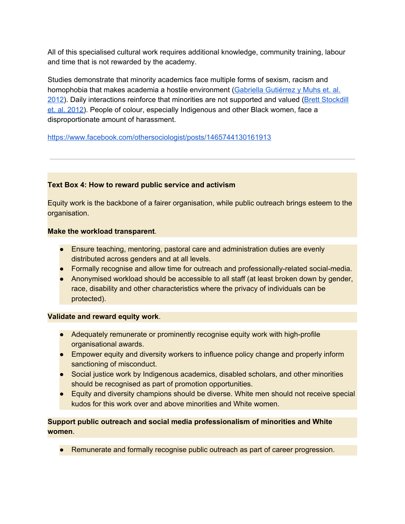All of this specialised cultural work requires additional knowledge, community training, labour and time that is not rewarded by the academy.

Studies demonstrate that minority academics face multiple forms of sexism, racism and homophobia that makes academia a hostile environment (Gabriella [Gutiérrez](https://www.amazon.com/Presumed-Incompetent-Intersections-Class-Academia/dp/0874219221) y Muhs et. al. [2012\)](https://www.amazon.com/Presumed-Incompetent-Intersections-Class-Academia/dp/0874219221). Daily interactions reinforce that minorities are not supported and valued (Brett [Stockdill](http://www.uhpress.hawaii.edu/p-8563-9780824835262.aspx) et. al. [2012\)](http://www.uhpress.hawaii.edu/p-8563-9780824835262.aspx). People of colour, especially Indigenous and other Black women, face a disproportionate amount of harassment.

<https://www.facebook.com/othersociologist/posts/1465744130161913>

#### **Text Box 4: How to reward public service and activism**

Equity work is the backbone of a fairer organisation, while public outreach brings esteem to the organisation.

#### **Make the workload transparent**.

- Ensure teaching, mentoring, pastoral care and administration duties are evenly distributed across genders and at all levels.
- Formally recognise and allow time for outreach and professionally-related social-media.
- Anonymised workload should be accessible to all staff (at least broken down by gender, race, disability and other characteristics where the privacy of individuals can be protected).

#### **Validate and reward equity work**.

- Adequately remunerate or prominently recognise equity work with high-profile organisational awards.
- Empower equity and diversity workers to influence policy change and properly inform sanctioning of misconduct.
- Social justice work by Indigenous academics, disabled scholars, and other minorities should be recognised as part of promotion opportunities.
- Equity and diversity champions should be diverse. White men should not receive special kudos for this work over and above minorities and White women.

#### **Support public outreach and social media professionalism of minorities and White women**.

● Remunerate and formally recognise public outreach as part of career progression.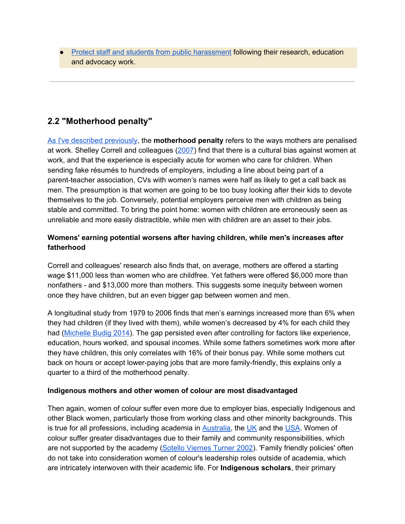● Protect staff and students from public [harassment](http://othersociologist.com/sociology-public-harassment-prevention-policies/) following their research, education and advocacy work.

## **2.2 "Motherhood penalty"**

As I've described [previously,](http://othersociologist.com/2014/12/31/motherhood-penalty-in-academia/) the **motherhood penalty** refers to the ways mothers are penalised at work. Shelley Correll and colleagues [\(2007](https://www.jstor.org/stable/10.1086/511799)) find that there is a cultural bias against women at work, and that the experience is especially acute for women who care for children. When sending fake résumés to hundreds of employers, including a line about being part of a parent-teacher association, CVs with women's names were half as likely to get a call back as men. The presumption is that women are going to be too busy looking after their kids to devote themselves to the job. Conversely, potential employers perceive men with children as being stable and committed. To bring the point home: women with children are erroneously seen as unreliable and more easily distractible, while men with children are an asset to their jobs.

#### **Womens' earning potential worsens after having children, while men's increases after fatherhood**

Correll and colleagues' research also finds that, on average, mothers are offered a starting wage \$11,000 less than women who are childfree. Yet fathers were offered \$6,000 more than nonfathers - and \$13,000 more than mothers. This suggests some inequity between women once they have children, but an even bigger gap between women and men.

A longitudinal study from 1979 to 2006 finds that men's earnings increased more than 6% when they had children (if they lived with them), while women's decreased by 4% for each child they had [\(Michelle](https://www.thirdway.org/report/the-fatherhood-bonus-and-the-motherhood-penalty-parenthood-and-the-gender-gap-in-pay) Budig 2014). The gap persisted even after controlling for factors like experience, education, hours worked, and spousal incomes. While some fathers sometimes work more after they have children, this only correlates with 16% of their bonus pay. While some mothers cut back on hours or accept lower-paying jobs that are more family-friendly, this explains only a quarter to a third of the motherhood penalty.

#### **Indigenous mothers and other women of colour are most disadvantaged**

Then again, women of colour suffer even more due to employer bias, especially Indigenous and other Black women, particularly those from working class and other minority backgrounds. This is tru[e](https://lib.dr.iastate.edu/cgi/viewcontent.cgi?article=13458&context=rtd) for all professions, including academia in  $\frac{\text{Australia}}{\text{Australia}}$ , the [UK](http://blogs.lse.ac.uk/equityDiversityInclusion/2014/08/black-academia-in-britain/) and the [USA.](https://lib.dr.iastate.edu/cgi/viewcontent.cgi?article=13458&context=rtd) Women of colour suffer greater disadvantages due to their family and community responsibilities, which are not supported by the academy (Sotello [Viernes](https://www.researchgate.net/profile/Caroline_Turner4/publication/236813152_Women_of_Color_in_Academe_Living_with_Multiple_Marginality/links/5491a36c0cf2f3c6657b7001.pdf) Turner 2002). 'Family friendly policies' often do not take into consideration women of colour's leadership roles outside of academia, which are intricately interwoven with their academic life. For **Indigenous scholars**, their primary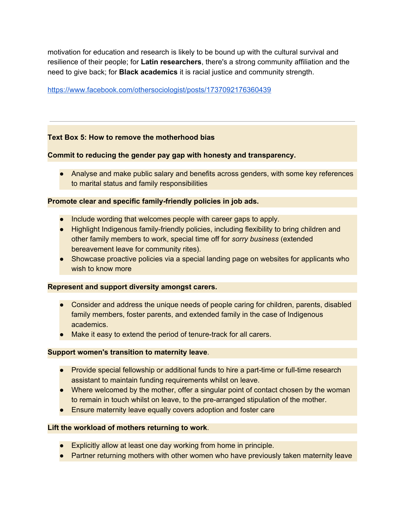motivation for education and research is likely to be bound up with the cultural survival and resilience of their people; for **Latin researchers**, there's a strong community affiliation and the need to give back; for **Black academics** it is racial justice and community strength.

#### <https://www.facebook.com/othersociologist/posts/1737092176360439>

#### **Text Box 5: How to remove the motherhood bias**

#### **Commit to reducing the gender pay gap with honesty and transparency.**

• Analyse and make public salary and benefits across genders, with some key references to marital status and family responsibilities

#### **Promote clear and specific family-friendly policies in job ads.**

- Include wording that welcomes people with career gaps to apply.
- Highlight Indigenous family-friendly policies, including flexibility to bring children and other family members to work, special time off for *sorry business* (extended bereavement leave for community rites).
- Showcase proactive policies via a special landing page on websites for applicants who wish to know more

#### **Represent and support diversity amongst carers.**

- Consider and address the unique needs of people caring for children, parents, disabled family members, foster parents, and extended family in the case of Indigenous academics.
- Make it easy to extend the period of tenure-track for all carers.

#### **Support women's transition to maternity leave**.

- Provide special fellowship or additional funds to hire a part-time or full-time research assistant to maintain funding requirements whilst on leave.
- Where welcomed by the mother, offer a singular point of contact chosen by the woman to remain in touch whilst on leave, to the pre-arranged stipulation of the mother.
- Ensure maternity leave equally covers adoption and foster care

#### **Lift the workload of mothers returning to work**.

- Explicitly allow at least one day working from home in principle.
- Partner returning mothers with other women who have previously taken maternity leave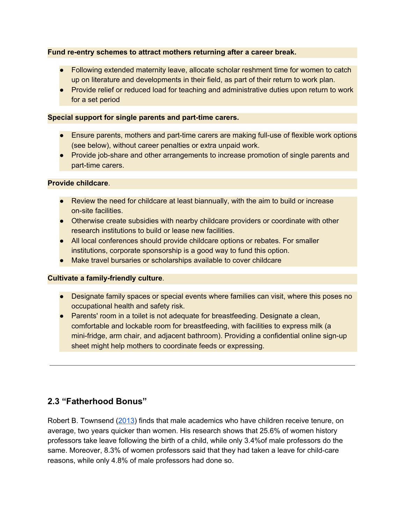#### **Fund re-entry schemes to attract mothers returning after a career break.**

- Following extended maternity leave, allocate scholar reshment time for women to catch up on literature and developments in their field, as part of their return to work plan.
- Provide relief or reduced load for teaching and administrative duties upon return to work for a set period

#### **Special support for single parents and part-time carers.**

- Ensure parents, mothers and part-time carers are making full-use of flexible work options (see below), without career penalties or extra unpaid work.
- Provide job-share and other arrangements to increase promotion of single parents and part-time carers.

#### **Provide childcare**.

- Review the need for childcare at least biannually, with the aim to build or increase on-site facilities.
- Otherwise create subsidies with nearby childcare providers or coordinate with other research institutions to build or lease new facilities.
- All local conferences should provide childcare options or rebates. For smaller institutions, corporate sponsorship is a good way to fund this option.
- Make travel bursaries or scholarships available to cover childcare

#### **Cultivate a family-friendly culture**.

- Designate family spaces or special events where families can visit, where this poses no occupational health and safety risk.
- Parents' room in a toilet is not adequate for breastfeeding. Designate a clean, comfortable and lockable room for breastfeeding, with facilities to express milk (a mini-fridge, arm chair, and adjacent bathroom). Providing a confidential online sign-up sheet might help mothers to coordinate feeds or expressing.

### **2.3 "Fatherhood Bonus"**

Robert B. Townsend ([2013](https://www.historians.org/publications-and-directories/perspectives-on-history/january-2013/gender-and-success-in-academia)) finds that male academics who have children receive tenure, on average, two years quicker than women. His research shows that 25.6% of women history professors take leave following the birth of a child, while only 3.4%of male professors do the same. Moreover, 8.3% of women professors said that they had taken a leave for child-care reasons, while only 4.8% of male professors had done so.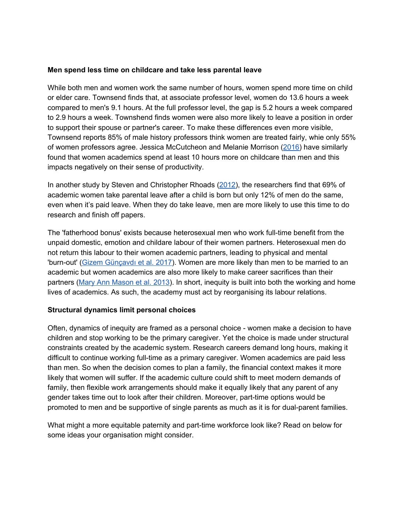#### **Men spend less time on childcare and take less parental leave**

While both men and women work the same number of hours, women spend more time on child or elder care. Townsend finds that, at associate professor level, women do 13.6 hours a week compared to men's 9.1 hours. At the full professor level, the gap is 5.2 hours a week compared to 2.9 hours a week. Townshend finds women were also more likely to leave a position in order to support their spouse or partner's career. To make these differences even more visible, Townsend reports 85% of male history professors think women are treated fairly, whie only 55% of women professors agree. Jessica McCutcheon and Melanie Morrison [\(2016\)](http://psycnet.apa.org/buy/2016-12367-001) have similarly found that women academics spend at least 10 hours more on childcare than men and this impacts negatively on their sense of productivity.

In another study by Steven and Christopher Rhoads ([2012](http://psycnet.apa.org/record/2012-24855-003)), the researchers find that 69% of academic women take parental leave after a child is born but only 12% of men do the same, even when it's paid leave. When they do take leave, men are more likely to use this time to do research and finish off papers.

The 'fatherhood bonus' exists because heterosexual men who work full-time benefit from the unpaid domestic, emotion and childare labour of their women partners. Heterosexual men do not return this labour to their women academic partners, leading to physical and mental 'burn-out' (Gizem [Günçavdı](https://files.eric.ed.gov/fulltext/EJ1143789.pdf) et al. 2017). Women are more likely than men to be married to an academic but women academics are also more likely to make career sacrifices than their partners (Mary Ann [Mason](https://www.amazon.com/gp/product/0813560802/ref=as_li_ss_tl?ie=UTF8&camp=1789&creative=390957&creativeASIN=0813560802&linkCode=as2&tag=slatmaga-20) et al. 2013). In short, inequity is built into both the working and home lives of academics. As such, the academy must act by reorganising its labour relations.

#### **Structural dynamics limit personal choices**

Often, dynamics of inequity are framed as a personal choice - women make a decision to have children and stop working to be the primary caregiver. Yet the choice is made under structural constraints created by the academic system. Research careers demand long hours, making it difficult to continue working full-time as a primary caregiver. Women academics are paid less than men. So when the decision comes to plan a family, the financial context makes it more likely that women will suffer. If the academic culture could shift to meet modern demands of family, then flexible work arrangements should make it equally likely that any parent of any gender takes time out to look after their children. Moreover, part-time options would be promoted to men and be supportive of single parents as much as it is for dual-parent families.

What might a more equitable paternity and part-time workforce look like? Read on below for some ideas your organisation might consider.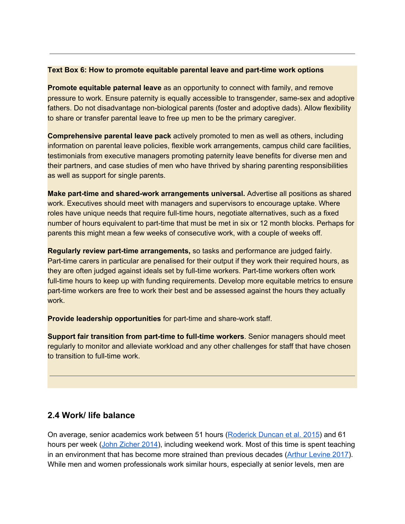#### **Text Box 6: How to promote equitable parental leave and part-time work options**

**Promote equitable paternal leave** as an opportunity to connect with family, and remove pressure to work. Ensure paternity is equally accessible to transgender, same-sex and adoptive fathers. Do not disadvantage non-biological parents (foster and adoptive dads). Allow flexibility to share or transfer parental leave to free up men to be the primary caregiver.

**Comprehensive parental leave pack** actively promoted to men as well as others, including information on parental leave policies, flexible work arrangements, campus child care facilities, testimonials from executive managers promoting paternity leave benefits for diverse men and their partners, and case studies of men who have thrived by sharing parenting responsibilities as well as support for single parents.

**Make part-time and shared-work arrangements universal.** Advertise all positions as shared work. Executives should meet with managers and supervisors to encourage uptake. Where roles have unique needs that require full-time hours, negotiate alternatives, such as a fixed number of hours equivalent to part-time that must be met in six or 12 month blocks. Perhaps for parents this might mean a few weeks of consecutive work, with a couple of weeks off.

**Regularly review part-time arrangements,** so tasks and performance are judged fairly. Part-time carers in particular are penalised for their output if they work their required hours, as they are often judged against ideals set by full-time workers. Part-time workers often work full-time hours to keep up with funding requirements. Develop more equitable metrics to ensure part-time workers are free to work their best and be assessed against the hours they actually work.

**Provide leadership opportunities** for part-time and share-work staff.

**Support fair transition from part-time to full-time workers**. Senior managers should meet regularly to monitor and alleviate workload and any other challenges for staff that have chosen to transition to full-time work.

#### **2.4 Work/ life balance**

On average, senior academics work between 51 hours [\(Roderick](https://news.csu.edu.au/__data/assets/pdf_file/0011/1297604/Duncan-et-al-AUR-57-01.pdf) Duncan et al. 2015) and 61 hours per week (John [Zicher](https://thebluereview.org/faculty-time-allocation/) 2014), including weekend work. Most of this time is spent teaching in an environment that has become more strained than previous decades (Arthur [Levine](https://www.taylorfrancis.com/books/e/9781351305792/chapters/10.4324%2F9781351305808-1) 2017). While men and women professionals work similar hours, especially at senior levels, men are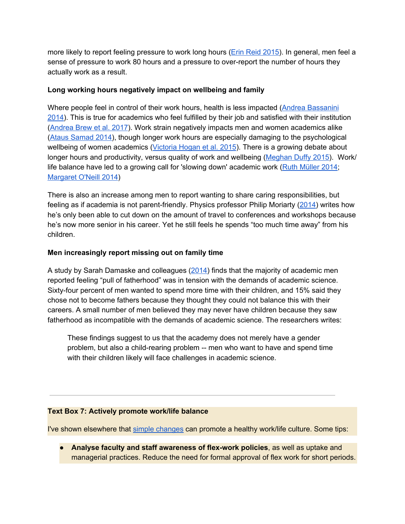more likely to report feeling pressure to work long hours (Erin Reid [2015](https://pubsonline.informs.org/doi/abs/10.1287/orsc.2015.0975)). In general, men feel a sense of pressure to work 80 hours and a pressure to over-report the number of hours they actually work as a result.

#### **Long working hours negatively impact on wellbeing and family**

Where people feel in control of their work hours, health is less impacted (Andrea [Bassanini](https://www.econstor.eu/bitstream/10419/93285/1/dp7891.pdf) [2014\)](https://www.econstor.eu/bitstream/10419/93285/1/dp7891.pdf). This is true for academics who feel fulfilled by their job and satisfied with their institution ([Andrea](https://srhe.tandfonline.com/doi/abs/10.1080/03075079.2017.1326023#.WziiPtIzYRl) Brew et al. 2017). Work strain negatively impacts men and women academics alike (Ataus [Samad](https://onlinelibrary.wiley.com/doi/abs/10.1111/1744-7941.12058) 2014), though longer work hours are especially damaging to the psychological wellbeing of women academics ([Victoria](https://www.tandfonline.com/doi/abs/10.1080/03033910.2015.1011193) Hogan et al. 2015). There is a growing debate about longer hours and productivity, versus quality of work and wellbeing ([Meghan](https://www.timeshighereducation.com/blog/you-do-not-need-work-80-hours-week-succeed-academia#survey-answer) Duffy 2015). Work/ life balance have led to a growing call for 'slowing down' academic work (Ruth [Müller](http://www.qualitative-research.net/index.php/fqs/article/view/2245) 2014; [Margaret](http://eprints.whiterose.ac.uk/121882/) O'Neill 2014)

There is also an increase among men to report wanting to share caring responsibilities, but feeling as if academia is not parent-friendly. Physics professor Philip Moriarty [\(2014\)](https://www.timeshighereducation.com/news/parenthood-and-academia-an-impossible-balance/2015507.article) writes how he's only been able to cut down on the amount of travel to conferences and workshops because he's now more senior in his career. Yet he still feels he spends "too much time away" from his children.

#### **Men increasingly report missing out on family time**

A study by Sarah Damaske and colleagues ([2014\)](http://journals.sagepub.com/doi/abs/10.1177/0730888414539171) finds that the majority of academic men reported feeling "pull of fatherhood" was in tension with the demands of academic science. Sixty-four percent of men wanted to spend more time with their children, and 15% said they chose not to become fathers because they thought they could not balance this with their careers. A small number of men believed they may never have children because they saw fatherhood as incompatible with the demands of academic science. The researchers writes:

These findings suggest to us that the academy does not merely have a gender problem, but also a child-rearing problem -- men who want to have and spend time with their children likely will face challenges in academic science.

#### **Text Box 7: Actively promote work/life balance**

I've shown elsewhere that simple [changes](http://othersociologist.com/2018/07/01/women-in-tech/) can promote a healthy work/life culture. Some tips:

● **Analyse faculty and staff awareness of flex-work policies**, as well as uptake and managerial practices. Reduce the need for formal approval of flex work for short periods.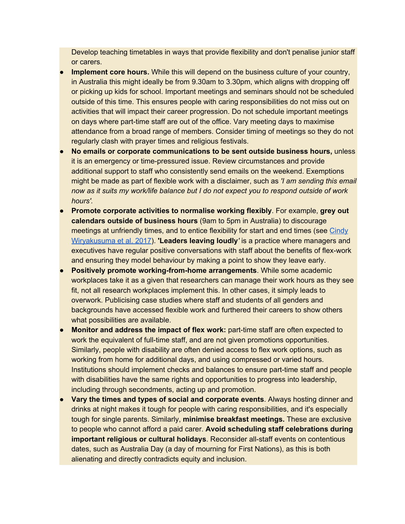Develop teaching timetables in ways that provide flexibility and don't penalise junior staff or carers.

- **Implement core hours.** While this will depend on the business culture of your country, in Australia this might ideally be from 9.30am to 3.30pm, which aligns with dropping off or picking up kids for school. Important meetings and seminars should not be scheduled outside of this time. This ensures people with caring responsibilities do not miss out on activities that will impact their career progression. Do not schedule important meetings on days where part-time staff are out of the office. Vary meeting days to maximise attendance from a broad range of members. Consider timing of meetings so they do not regularly clash with prayer times and religious festivals.
- **No emails or corporate communications to be sent outside business hours,** unless it is an emergency or time-pressured issue. Review circumstances and provide additional support to staff who consistently send emails on the weekend. Exemptions might be made as part of flexible work with a disclaimer, such as *'I am sending this email now as it suits my work/life balance but I do not expect you to respond outside of work hours'.*
- **Promote corporate activities to normalise working flexibly**. For example, **grey out calendars outside of business hours** (9am to 5pm in Australia) to discourage meetings at unfriendly times, and to entice flexibility for start and end times (see [Cindy](https://hbr.org/2017/11/how-we-nudged-employees-to-embrace-flexible-work) [Wiryakusuma](https://hbr.org/2017/11/how-we-nudged-employees-to-embrace-flexible-work) et al. 2017). **'Leaders leaving loudly***'* is a practice where managers and executives have regular positive conversations with staff about the benefits of flex-work and ensuring they model behaviour by making a point to show they leave early.
- **Positively promote working-from-home arrangements**. While some academic workplaces take it as a given that researchers can manage their work hours as they see fit, not all research workplaces implement this. In other cases, it simply leads to overwork. Publicising case studies where staff and students of all genders and backgrounds have accessed flexible work and furthered their careers to show others what possibilities are available.
- **Monitor and address the impact of flex work:** part-time staff are often expected to work the equivalent of full-time staff, and are not given promotions opportunities. Similarly, people with disability are often denied access to flex work options, such as working from home for additional days, and using compressed or varied hours. Institutions should implement checks and balances to ensure part-time staff and people with disabilities have the same rights and opportunities to progress into leadership, including through secondments, acting up and promotion.
- **Vary the times and types of social and corporate events**. Always hosting dinner and drinks at night makes it tough for people with caring responsibilities, and it's especially tough for single parents. Similarly, **minimise breakfast meetings.** These are exclusive to people who cannot afford a paid carer. **Avoid scheduling staff celebrations during important religious or cultural holidays**. Reconsider all-staff events on contentious dates, such as Australia Day (a day of mourning for First Nations), as this is both alienating and directly contradicts equity and inclusion.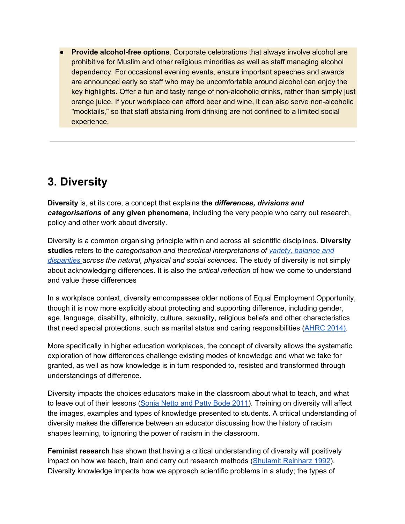● **Provide alcohol-free options**. Corporate celebrations that always involve alcohol are prohibitive for Muslim and other religious minorities as well as staff managing alcohol dependency. For occasional evening events, ensure important speeches and awards are announced early so staff who may be uncomfortable around alcohol can enjoy the key highlights. Offer a fun and tasty range of non-alcoholic drinks, rather than simply just orange juice. If your workplace can afford beer and wine, it can also serve non-alcoholic "mocktails," so that staff abstaining from drinking are not confined to a limited social experience.

## **3. Diversity**

**Diversity** is, at its core, a concept that explains **the** *differences, divisions and categorisations* **of any given phenomena**, including the very people who carry out research, policy and other work about diversity.

Diversity is a common organising principle within and across all scientific disciplines. **Diversity studies** refers to the *categorisation and theoretical interpretations of variety, [balance](http://rsif.royalsocietypublishing.org/content/4/15/707.short) and [disparities](http://rsif.royalsocietypublishing.org/content/4/15/707.short) across the natural, physical and social sciences*. The study of diversity is not simply about acknowledging differences. It is also the *critical reflection* of how we come to understand and value these differences

In a workplace context, diversity emcompasses older notions of Equal Employment Opportunity, though it is now more explicitly about protecting and supporting difference, including gender, age, language, disability, ethnicity, culture, sexuality, religious beliefs and other characteristics that need special protections, such as marital status and caring responsibilities [\(AHRC](https://www.humanrights.gov.au/sites/default/files/document/publication/diversity-strategy-2014.pdf) 2014).

More specifically in higher education workplaces, the concept of diversity allows the systematic exploration of how differences challenge existing modes of knowledge and what we take for granted, as well as how knowledge is in turn responded to, resisted and transformed through understandings of difference.

Diversity impacts the choices educators make in the classroom about what to teach, and what to leave out of their lessons [\(Sonia](https://www.amazon.com/Affirming-Diversity-Sociopolitical-Multicultural-Education/dp/013136734X) Netto and Patty Bode 2011). Training on diversity will affect the images, examples and types of knowledge presented to students. A critical understanding of diversity makes the difference between an educator discussing how the history of racism shapes learning, to ignoring the power of racism in the classroom.

**Feminist research** has shown that having a critical understanding of diversity will positively impact on how we teach, train and carry out research methods (Shulamit [Reinharz](https://www.amazon.com/Feminist-Methods-Research-Shulamit-Reinharz/dp/019507386X) 1992). Diversity knowledge impacts how we approach scientific problems in a study; the types of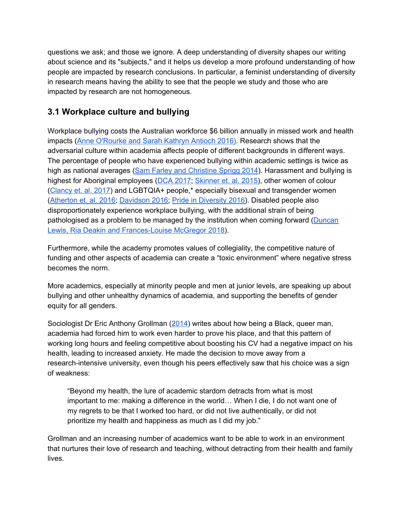questions we ask; and those we ignore. A deep understanding of diversity shapes our writing about science and its "subjects," and it helps us develop a more profound understanding of how people are impacted by research conclusions. In particular, a feminist understanding of diversity in research means having the ability to see that the people we study and those who are impacted by research are not homogeneous.

## **3.1 Workplace culture and bullying**

Workplace bullying costs the Australian workforce \$6 billion annually in missed work and health impacts (Anne [O'Rourke](https://journals.sagepub.com/doi/abs/10.1177/1473779515625009) and Sarah Kathryn Antioch 2016). Research shows that the adversarial culture within academia affects people of different backgrounds in different ways. The percentage of people who have experienced bullying within academic settings is twice as high as national averages (Sam Farley and [Christine](https://www.theguardian.com/higher-education-network/blog/2014/nov/03/why-bullying-thrives-higher-education) Sprigg 2014). Harassment and bullying is highest for Aboriginal employees (DCA [2017;](https://www.dca.org.au/sites/default/files/dca-suncorp_inclusionwork_index_synopsis_final.pdf) [Skinner](https://www.tandfonline.com/doi/full/10.1080/1360080X.2015.1079400#.ViB_xBArJBw) et. al. 2015), other women of colour ([Clancy](https://agupubs.onlinelibrary.wiley.com/doi/abs/10.1002/2017JE005256) et. al. 2017) and LGBTQIA+ people,\* especially bisexual and transgender women ([Atherton](https://www.aps.org/programs/lgbt/upload/LGBTClimateinPhysicsReport.pdf) et. al. 2016; [Davidson](https://www.tandfonline.com/doi/full/10.1080/23311886.2016.1236511) 2016[;](http://www.pid-awei.com.au/content/uploads/2016/08/AWEI_SurveyReport_20161.pdf) Pride in [Diversity](http://www.pid-awei.com.au/content/uploads/2016/08/AWEI_SurveyReport_20161.pdf) 2016). Disabled people also disproportionately experience workplace bullying, with the additional strain of being pathologised as a problem to be managed by the institution when coming forward [\(Duncan](https://link.springer.com/referenceworkentry/10.1007%2F978-981-10-5338-2_15-1) Lewis, Ria Deakin and [Frances-Louise](https://link.springer.com/referenceworkentry/10.1007%2F978-981-10-5338-2_15-1) McGregor 2018).

Furthermore, while the academy promotes values of collegiality, the competitive nature of funding and other aspects of academia can create a "toxic environment" where negative stress becomes the norm.

More academics, especially at minority people and men at junior levels, are speaking up about bullying and other unhealthy dynamics of academia, and supporting the benefits of gender equity for all genders.

Sociologist Dr Eric Anthony Grollman ([2014\)](https://www.insidehighered.com/advice/2014/09/16/essay-giving-academic-stardom) writes about how being a Black, queer man, academia had forced him to work even harder to prove his place, and that this pattern of working long hours and feeling competitive about boosting his CV had a negative impact on his health, leading to increased anxiety. He made the decision to move away from a research-intensive university, even though his peers effectively saw that his choice was a sign of weakness:

"Beyond my health, the lure of academic stardom detracts from what is most important to me: making a difference in the world… When I die, I do not want one of my regrets to be that I worked too hard, or did not live authentically, or did not prioritize my health and happiness as much as I did my job."

Grollman and an increasing number of academics want to be able to work in an environment that nurtures their love of research and teaching, without detracting from their health and family lives.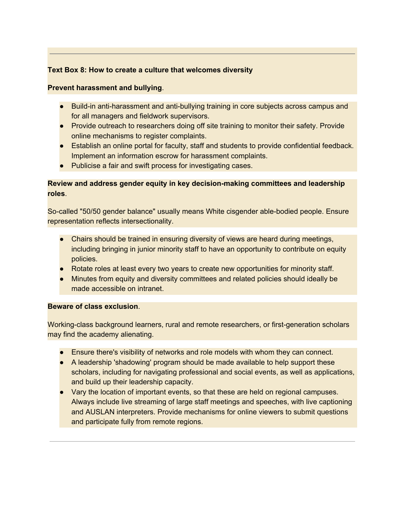#### **Text Box 8: How to create a culture that welcomes diversity**

#### **Prevent harassment and bullying**.

- Build-in anti-harassment and anti-bullying training in core subjects across campus and for all managers and fieldwork supervisors.
- Provide outreach to researchers doing off site training to monitor their safety. Provide online mechanisms to register complaints.
- Establish an online portal for faculty, staff and students to provide confidential feedback. Implement an information escrow for harassment complaints.
- Publicise a fair and swift process for investigating cases.

#### **Review and address gender equity in key decision-making committees and leadership roles**.

So-called "50/50 gender balance" usually means White cisgender able-bodied people. Ensure representation reflects intersectionality.

- Chairs should be trained in ensuring diversity of views are heard during meetings, including bringing in junior minority staff to have an opportunity to contribute on equity policies.
- Rotate roles at least every two years to create new opportunities for minority staff.
- Minutes from equity and diversity committees and related policies should ideally be made accessible on intranet.

#### **Beware of class exclusion**.

Working-class background learners, rural and remote researchers, or first-generation scholars may find the academy alienating.

- Ensure there's visibility of networks and role models with whom they can connect.
- A leadership 'shadowing' program should be made available to help support these scholars, including for navigating professional and social events, as well as applications, and build up their leadership capacity.
- Vary the location of important events, so that these are held on regional campuses. Always include live streaming of large staff meetings and speeches, with live captioning and AUSLAN interpreters. Provide mechanisms for online viewers to submit questions and participate fully from remote regions.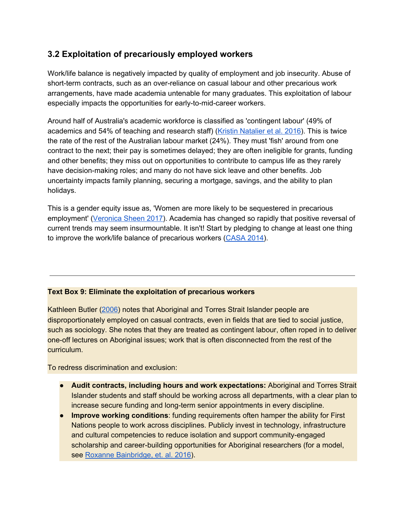## **3.2 Exploitation of precariously employed workers**

Work/life balance is negatively impacted by quality of employment and job insecurity. Abuse of short-term contracts, such as an over-reliance on casual labour and other precarious work arrangements, have made academia untenable for many graduates. This exploitation of labour especially impacts the opportunities for early-to-mid-career workers.

Around half of Australia's academic workforce is classified as 'contingent labour' (49% of academics and 54% of teaching and research staff) (Kristin [Natalier](https://eprints.utas.edu.au/23332/1/TASA-Insecure-workforce-final.pdf) et al. 2016). This is twice the rate of the rest of the Australian labour market (24%). They must 'fish' around from one contract to the next; their pay is sometimes delayed; they are often ineligible for grants, funding and other benefits; they miss out on opportunities to contribute to campus life as they rarely have decision-making roles; and many do not have sick leave and other benefits. Job uncertainty impacts family planning, securing a mortgage, savings, and the ability to plan holidays.

This is a gender equity issue as, 'Women are more likely to be sequestered in precarious employment' ([Veronica](http://journals.sagepub.com/doi/full/10.1177/1035304617690095) Sheen 2017). Academia has changed so rapidly that positive reversal of current trends may seem insurmountable. It isn't! Start by pledging to change at least one thing to improve the work/life balance of precarious workers [\(CASA](https://actualcasuals.wordpress.com/change-one-thing/) 2014).

#### **Text Box 9: Eliminate the exploitation of precarious workers**

Kathleen Butler ([2006](https://journals.sagepub.com/doi/10.1177/1440783306069994)) notes that Aboriginal and Torres Strait Islander people are disproportionately employed on casual contracts, even in fields that are tied to social justice, such as sociology. She notes that they are treated as contingent labour, often roped in to deliver one-off lectures on Aboriginal issues; work that is often disconnected from the rest of the curriculum.

To redress discrimination and exclusion:

- **Audit contracts, including hours and work expectations:** Aboriginal and Torres Strait Islander students and staff should be working across all departments, with a clear plan to increase secure funding and long-term senior appointments in every discipline.
- **Improve working conditions**: funding requirements often hamper the ability for First Nations people to work across disciplines. Publicly invest in technology, infrastructure and cultural competencies to reduce isolation and support community-engaged scholarship and career-building opportunities for Aboriginal researchers (for a model, see [R](http://ecite.utas.edu.au/131651)oxanne [Bainbridge,](http://ecite.utas.edu.au/131651) et. al. 2016).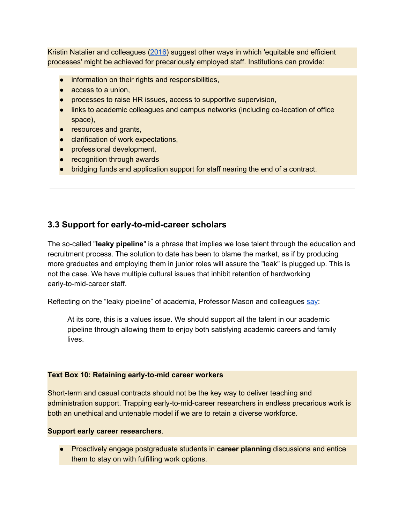Kristin Natalier and colleagues [\(2016\)](https://eprints.utas.edu.au/23332/1/TASA-Insecure-workforce-final.pdf) suggest other ways in which 'equitable and efficient processes' might be achieved for precariously employed staff. Institutions can provide:

- information on their rights and responsibilities,
- access to a union,
- processes to raise HR issues, access to supportive supervision,
- links to academic colleagues and campus networks (including co-location of office space),
- resources and grants,
- clarification of work expectations,
- professional development,
- recognition through awards
- bridging funds and application support for staff nearing the end of a contract.

### **3.3 Support for early-to-mid-career scholars**

The so-called "**leaky pipeline**" is a phrase that implies we lose talent through the education and recruitment process. The solution to date has been to blame the market, as if by producing more graduates and employing them in junior roles will assure the "leak" is plugged up. This is not the case. We have multiple cultural issues that inhibit retention of hardworking early-to-mid-career staff.

Reflecting on the "leaky pipeline" of academia, Profe[s](https://www.amazon.com/Do-Babies-Matter-Gender-Families/dp/0813560802)sor Mason and colleagues [say:](https://www.amazon.com/Do-Babies-Matter-Gender-Families/dp/0813560802)

At its core, this is a values issue. We should support all the talent in our academic pipeline through allowing them to enjoy both satisfying academic careers and family lives.

#### **Text Box 10: Retaining early-to-mid career workers**

Short-term and casual contracts should not be the key way to deliver teaching and administration support. Trapping early-to-mid-career researchers in endless precarious work is both an unethical and untenable model if we are to retain a diverse workforce.

#### **Support early career researchers**.

● Proactively engage postgraduate students in **career planning** discussions and entice them to stay on with fulfilling work options.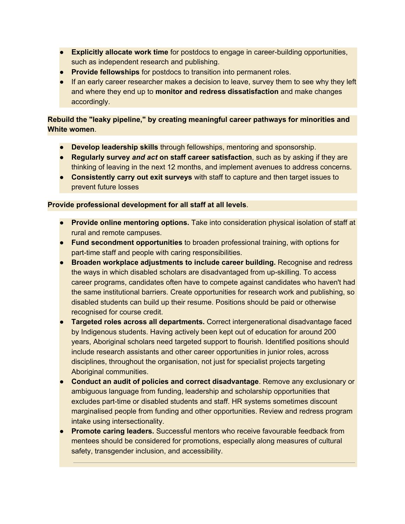- **Explicitly allocate work time** for postdocs to engage in career-building opportunities, such as independent research and publishing.
- **Provide fellowships** for postdocs to transition into permanent roles.
- If an early career researcher makes a decision to leave, survey them to see why they left and where they end up to **monitor and redress dissatisfaction** and make changes accordingly.

**Rebuild the "leaky pipeline," by creating meaningful career pathways for minorities and White women**.

- **Develop leadership skills** through fellowships, mentoring and sponsorship.
- **Regularly survey** *and act* **on staff career satisfaction**, such as by asking if they are thinking of leaving in the next 12 months, and implement avenues to address concerns.
- **Consistently carry out exit surveys** with staff to capture and then target issues to prevent future losses

#### **Provide professional development for all staff at all levels**.

- **Provide online mentoring options.** Take into consideration physical isolation of staff at rural and remote campuses.
- **Fund secondment opportunities** to broaden professional training, with options for part-time staff and people with caring responsibilities.
- **Broaden workplace adjustments to include career building.** Recognise and redress the ways in which disabled scholars are disadvantaged from up-skilling. To access career programs, candidates often have to compete against candidates who haven't had the same institutional barriers. Create opportunities for research work and publishing, so disabled students can build up their resume. Positions should be paid or otherwise recognised for course credit.
- **Targeted roles across all departments.** Correct intergenerational disadvantage faced by Indigenous students. Having actively been kept out of education for around 200 years, Aboriginal scholars need targeted support to flourish. Identified positions should include research assistants and other career opportunities in junior roles, across disciplines, throughout the organisation, not just for specialist projects targeting Aboriginal communities.
- **Conduct an audit of policies and correct disadvantage**. Remove any exclusionary or ambiguous language from funding, leadership and scholarship opportunities that excludes part-time or disabled students and staff. HR systems sometimes discount marginalised people from funding and other opportunities. Review and redress program intake using intersectionality.
- **Promote caring leaders.** Successful mentors who receive favourable feedback from mentees should be considered for promotions, especially along measures of cultural safety, transgender inclusion, and accessibility.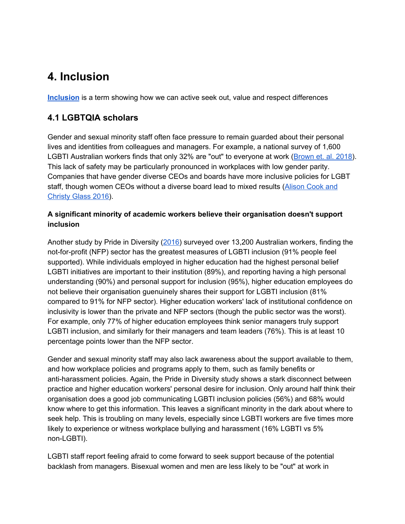## **4. Inclusion**

**[Inclusion](http://www.uhpress.hawaii.edu/p-8563-9780824835262.aspx)** is a term showing how we can active seek out, value and respect differences

## **4.1 LGBTQIA scholars**

Gender and sexual minority staff often face pressure to remain guarded about their personal lives and identities from colleagues and managers. For example, a national survey of 1,600 LGBTI Australian workers finds that only 32% are "out" to everyone at work ([Brown](https://www.dca.org.au/research/project/out-work-prejudice-pride) et. al. 2018). This lack of safety may be particularly pronounced in workplaces with low gender parity. Companies that have gender diverse CEOs and boards have more inclusive policies for LGBT staff, though women CEOs without a diverse board lead to mixed results [\(Alison](http://journals.sagepub.com/doi/abs/10.1177/0018726715611734?journalCode=huma) Cook and [Christy](http://journals.sagepub.com/doi/abs/10.1177/0018726715611734?journalCode=huma) Glass 2016).

#### **A significant minority of academic workers believe their organisation doesn't support inclusion**

Another study by Pride in Diversity ([2016\)](http://www.pid-awei.com.au/content/uploads/2016/08/AWEI_SurveyReport_20161.pdf) surveyed over 13,200 Australian workers, finding the not-for-profit (NFP) sector has the greatest measures of LGBTI inclusion (91% people feel supported). While individuals employed in higher education had the highest personal belief LGBTI initiatives are important to their institution (89%), and reporting having a high personal understanding (90%) and personal support for inclusion (95%), higher education employees do not believe their organisation guenuinely shares their support for LGBTI inclusion (81% compared to 91% for NFP sector). Higher education workers' lack of institutional confidence on inclusivity is lower than the private and NFP sectors (though the public sector was the worst). For example, only 77% of higher education employees think senior managers truly support LGBTI inclusion, and similarly for their managers and team leaders (76%). This is at least 10 percentage points lower than the NFP sector.

Gender and sexual minority staff may also lack awareness about the support available to them, and how workplace policies and programs apply to them, such as family benefits or anti-harassment policies. Again, the Pride in Diversity study shows a stark disconnect between practice and higher education workers' personal desire for inclusion. Only around half think their organisation does a good job communicating LGBTI inclusion policies (56%) and 68% would know where to get this information. This leaves a significant minority in the dark about where to seek help. This is troubling on many levels, especially since LGBTI workers are five times more likely to experience or witness workplace bullying and harassment (16% LGBTI vs 5% non-LGBTI).

LGBTI staff report feeling afraid to come forward to seek support because of the potential backlash from managers. Bisexual women and men are less likely to be "out" at work in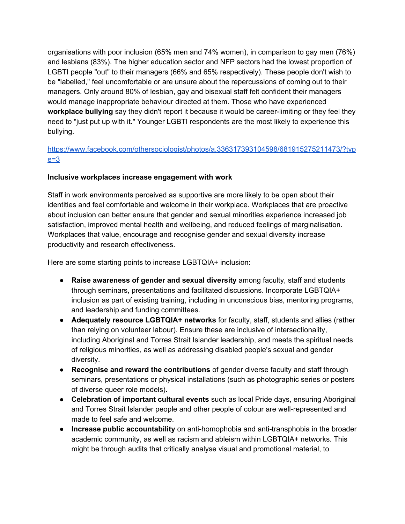organisations with poor inclusion (65% men and 74% women), in comparison to gay men (76%) and lesbians (83%). The higher education sector and NFP sectors had the lowest proportion of LGBTI people "out" to their managers (66% and 65% respectively). These people don't wish to be "labelled," feel uncomfortable or are unsure about the repercussions of coming out to their managers. Only around 80% of lesbian, gay and bisexual staff felt confident their managers would manage inappropriate behaviour directed at them. Those who have experienced **workplace bullying** say they didn't report it because it would be career-limiting or they feel they need to "just put up with it." Younger LGBTI respondents are the most likely to experience this bullying.

#### [https://www.facebook.com/othersociologist/photos/a.336317393104598/681915275211473/?typ](https://www.facebook.com/othersociologist/photos/a.336317393104598/681915275211473/?type=3)  $e=3$

#### **Inclusive workplaces increase engagement with work**

Staff in work environments perceived as supportive are more likely to be open about their identities and feel comfortable and welcome in their workplace. Workplaces that are proactive about inclusion can better ensure that gender and sexual minorities experience increased job satisfaction, improved mental health and wellbeing, and reduced feelings of marginalisation. Workplaces that value, encourage and recognise gender and sexual diversity increase productivity and research effectiveness.

Here are some starting points to increase LGBTQIA+ inclusion:

- **Raise awareness of gender and sexual diversity** among faculty, staff and students through seminars, presentations and facilitated discussions. Incorporate LGBTQIA+ inclusion as part of existing training, including in unconscious bias, mentoring programs, and leadership and funding committees.
- **Adequately resource LGBTQIA+ networks** for faculty, staff, students and allies (rather than relying on volunteer labour). Ensure these are inclusive of intersectionality, including Aboriginal and Torres Strait Islander leadership, and meets the spiritual needs of religious minorities, as well as addressing disabled people's sexual and gender diversity.
- **Recognise and reward the contributions** of gender diverse faculty and staff through seminars, presentations or physical installations (such as photographic series or posters of diverse queer role models).
- **Celebration of important cultural events** such as local Pride days, ensuring Aboriginal and Torres Strait Islander people and other people of colour are well-represented and made to feel safe and welcome.
- **Increase public accountability** on anti-homophobia and anti-transphobia in the broader academic community, as well as racism and ableism within LGBTQIA+ networks. This might be through audits that critically analyse visual and promotional material, to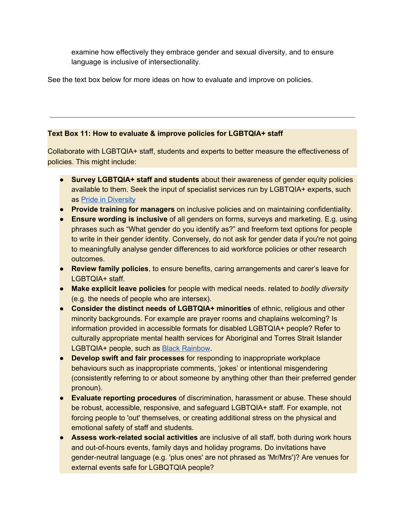examine how effectively they embrace gender and sexual diversity, and to ensure language is inclusive of intersectionality.

See the text box below for more ideas on how to evaluate and improve on policies.

#### **Text Box 11: How to evaluate & improve policies for LGBTQIA+ staff**

Collaborate with LGBTQIA+ staff, students and experts to better measure the effectiveness of policies. This might include:

- **Survey LGBTQIA+ staff and students** about their awareness of gender equity policies available to them. Seek the input of specialist services run by LGBTQIA+ experts, such a[s](http://www.prideinclusionprograms.com.au/) Pride in [Diversity](http://www.prideinclusionprograms.com.au/)
- **Provide training for managers** on inclusive policies and on maintaining confidentiality.
- **Ensure wording is inclusive** of all genders on forms, surveys and marketing. E.g. using phrases such as "What gender do you identify as?" and freeform text options for people to write in their gender identity. Conversely, do not ask for gender data if you're not going to meaningfully analyse gender differences to aid workforce policies or other research outcomes.
- **Review family policies**, to ensure benefits, caring arrangements and carer's leave for LGBTQIA+ staff.
- **Make explicit leave policies** for people with medical needs. related to *bodily diversity* (e.g. the needs of people who are intersex).
- **Consider the distinct needs of LGBTQIA+ minorities** of ethnic, religious and other minority backgrounds. For example are prayer rooms and chaplains welcoming? Is information provided in accessible formats for disabled LGBTQIA+ people? Refer to culturally appropriate mental health services for Aboriginal and Torres Strait Islander LGBTQIA+ people, such a[s](http://www.blackrainbow.org.au/) Black [Rainbow.](http://www.blackrainbow.org.au/)
- **Develop swift and fair processes** for responding to inappropriate workplace behaviours such as inappropriate comments, 'jokes' or intentional misgendering (consistently referring to or about someone by anything other than their preferred gender pronoun).
- **Evaluate reporting procedures** of discrimination, harassment or abuse. These should be robust, accessible, responsive, and safeguard LGBTQIA+ staff. For example, not forcing people to 'out' themselves, or creating additional stress on the physical and emotional safety of staff and students.
- **Assess work-related social activities** are inclusive of all staff, both during work hours and out-of-hours events, family days and holiday programs. Do invitations have gender-neutral language (e.g. 'plus ones' are not phrased as 'Mr/Mrs')? Are venues for external events safe for LGBQTQIA people?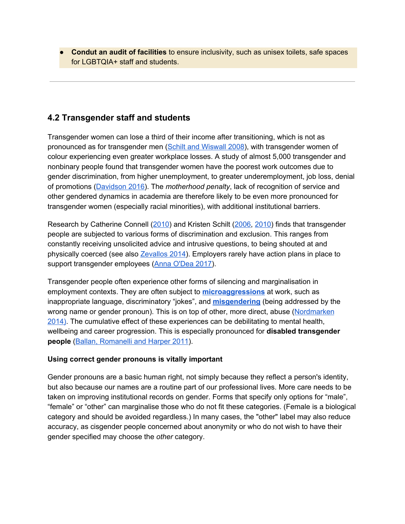● **Condut an audit of facilities** to ensure inclusivity, such as unisex toilets, safe spaces for LGBTQIA+ staff and students.

### **4.2 Transgender staff and students**

Transgender women can lose a third of their income after transitioning, which is not as pronounced as for transgender men (Schilt and [Wiswall](https://www.degruyter.com/view/j/bejeap.2008.8.1/bejeap.2008.8.1.1862/bejeap.2008.8.1.1862.xml) 2008), with transgender women of colour experiencing even greater workplace losses. A study of almost 5,000 transgender and nonbinary people found that transgender women have the poorest work outcomes due to gender discrimination, from higher unemployment, to greater underemployment, job loss, denial of promotions ([Davidson](https://www.tandfonline.com/doi/full/10.1080/23311886.2016.1236511) 2016). The *motherhood penalty*, lack of recognition of service and other gendered dynamics in academia are therefore likely to be even more pronounced for transgender women (especially racial minorities), with additional institutional barriers.

Research by Catherine Connell ([2010\)](http://journals.sagepub.com/doi/abs/10.1177/0891243209356429) and Kristen Schilt ([2006,](http://journals.sagepub.com/doi/abs/10.1177/0891243206288077) [2010\)](http://press.uchicago.edu/ucp/books/book/chicago/J/bo9743256.html) finds that transgender people are subjected to various forms of discrimination and exclusion. This ranges from constantly receiving unsolicited advice and intrusive questions, to being shouted at and physically c[o](http://othersociologist.com/2014/12/01/transgender-women-inequality-work/)erced (see also [Zevallos](http://othersociologist.com/2014/12/01/transgender-women-inequality-work/) 2014). Employers rarely have action plans in place to support transgender employees (Anna [O'Dea](https://agencyiceberg.com.au/2017/05/3-keys-creating-transgender-inclusive-workplace/) 2017).

Transgender people often experience other forms of silencing and marginalisation in employment contexts. They are often subject to **[microaggressions](http://othersociologist.com/2017/07/15/where-are-you-from-racial-microaggressions/)** at work, such as inappropriate language, discriminatory "jokes", and **[misgendering](http://www.oxforddictionaries.com/definition/english/misgender)** (being addressed by the wrong name or gender pronoun). This is on top of other, more direct, abuse ([Nordmarken](https://read.dukeupress.edu/tsq/article/1/1-2/129/91709/Microaggressions) [2014\)](https://read.dukeupress.edu/tsq/article/1/1-2/129/91709/Microaggressions). The cumulative effect of these experiences can be debilitating to mental health, wellbeing and career progression. This is especially pronounced for **disabled transgender people** (Ballan, [Romanelli](https://www.tandfonline.com/doi/abs/10.1080/19359705.2011.582073) and Harper 2011).

#### **Using correct gender pronouns is vitally important**

Gender pronouns are a basic human right, not simply because they reflect a person's identity, but also because our names are a routine part of our professional lives. More care needs to be taken on improving institutional records on gender. Forms that specify only options for "male", "female" or "other" can marginalise those who do not fit these categories. (Female is a biological category and should be avoided regardless.) In many cases, the "other" label may also reduce accuracy, as cisgender people concerned about anonymity or who do not wish to have their gender specified may choose the *other* category.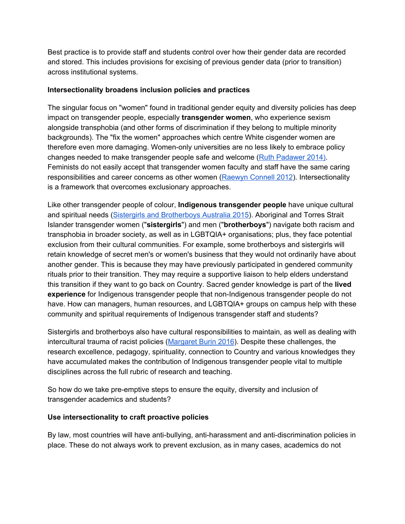Best practice is to provide staff and students control over how their gender data are recorded and stored. This includes provisions for excising of previous gender data (prior to transition) across institutional systems.

#### **Intersectionality broadens inclusion policies and practices**

The singular focus on "women" found in traditional gender equity and diversity policies has deep impact on transgender people, especially **transgender women**, who experience sexism alongside transphobia (and other forms of discrimination if they belong to multiple minority backgrounds). The "fix the women" approaches which centre White cisgender women are therefore even more damaging. Women-only universities are no less likely to embrace policy changes needed to make transgender people safe and welcome (Ruth [Padawer](https://www.nytimes.com/2014/10/19/magazine/when-women-become-men-at-wellesley-college.html) 2014). Feminists do not easily accept that transgender women faculty and staff have the same caring responsibilities and career concerns as other women [\(Raewyn](http://www.jstor.org/stable/10.1086/664478) Connell 2012). Intersectionality is a framework that overcomes exclusionary approaches.

Like other transgender people of colour, **Indigenous transgender people** have unique cultural and spiritual needs (Sistergirls and [Brotherboys](https://vimeo.com/101206852) Australia 2015). Aboriginal and Torres Strait Islander transgender women ("**sistergirls**") and men ("**brotherboys**") navigate both racism and transphobia in broader society, as well as in LGBTQIA+ organisations; plus, they face potential exclusion from their cultural communities. For example, some brotherboys and sistergirls will retain knowledge of secret men's or women's business that they would not ordinarily have about another gender. This is because they may have previously participated in gendered community rituals prior to their transition. They may require a supportive liaison to help elders understand this transition if they want to go back on Country. Sacred gender knowledge is part of the **lived experience** for Indigenous transgender people that non-Indigenous transgender people do not have. How can managers, human resources, and LGBTQIA+ groups on campus help with these community and spiritual requirements of Indigenous transgender staff and students?

Sistergirls and brotherboys also have cultural responsibilities to maintain, as well as dealing with intercultural trauma of racist policies [\(Margaret](http://www.abc.net.au/news/2016-11-21/sistergirls-and-brotherboys-unite-to-strengthen-spirits/8040928) Burin 2016). Despite these challenges, the research excellence, pedagogy, spirituality, connection to Country and various knowledges they have accumulated makes the contribution of Indigenous transgender people vital to multiple disciplines across the full rubric of research and teaching.

So how do we take pre-emptive steps to ensure the equity, diversity and inclusion of transgender academics and students?

#### **Use intersectionality to craft proactive policies**

By law, most countries will have anti-bullying, anti-harassment and anti-discrimination policies in place. These do not always work to prevent exclusion, as in many cases, academics do not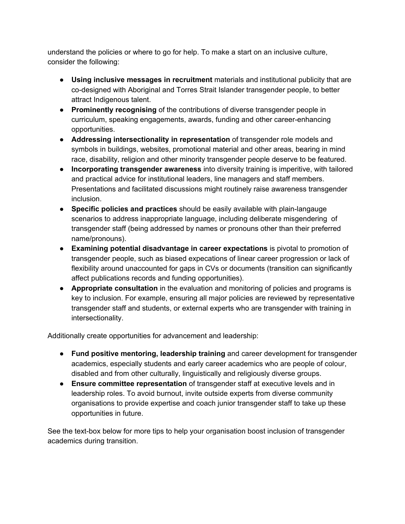understand the policies or where to go for help. To make a start on an inclusive culture, consider the following:

- **Using inclusive messages in recruitment** materials and institutional publicity that are co-designed with Aboriginal and Torres Strait Islander transgender people, to better attract Indigenous talent.
- **Prominently recognising** of the contributions of diverse transgender people in curriculum, speaking engagements, awards, funding and other career-enhancing opportunities.
- **Addressing intersectionality in representation** of transgender role models and symbols in buildings, websites, promotional material and other areas, bearing in mind race, disability, religion and other minority transgender people deserve to be featured.
- **Incorporating transgender awareness** into diversity training is imperitive, with tailored and practical advice for institutional leaders, line managers and staff members. Presentations and facilitated discussions might routinely raise awareness transgender inclusion.
- **Specific policies and practices** should be easily available with plain-langauge scenarios to address inappropriate language, including deliberate misgendering of transgender staff (being addressed by names or pronouns other than their preferred name/pronouns).
- **Examining potential disadvantage in career expectations** is pivotal to promotion of transgender people, such as biased expecations of linear career progression or lack of flexibility around unaccounted for gaps in CVs or documents (transition can significantly affect publications records and funding opportunities).
- **Appropriate consultation** in the evaluation and monitoring of policies and programs is key to inclusion. For example, ensuring all major policies are reviewed by representative transgender staff and students, or external experts who are transgender with training in intersectionality.

Additionally create opportunities for advancement and leadership:

- **Fund positive mentoring, leadership training** and career development for transgender academics, especially students and early career academics who are people of colour, disabled and from other culturally, linguistically and religiously diverse groups.
- **Ensure committee representation** of transgender staff at executive levels and in leadership roles. To avoid burnout, invite outside experts from diverse community organisations to provide expertise and coach junior transgender staff to take up these opportunities in future.

See the text-box below for more tips to help your organisation boost inclusion of transgender academics during transition.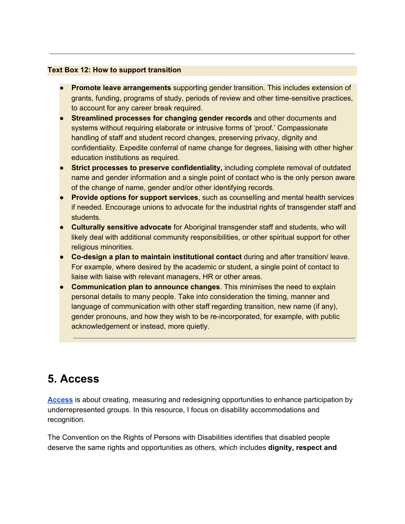#### **Text Box 12: How to support transition**

- **Promote leave arrangements** supporting gender transition. This includes extension of grants, funding, programs of study, periods of review and other time-sensitive practices, to account for any career break required.
- **Streamlined processes for changing gender records** and other documents and systems without requiring elaborate or intrusive forms of 'proof.' Compassionate handling of staff and student record changes, preserving privacy, dignity and confidentiality. Expedite conferral of name change for degrees, liaising with other higher education institutions as required.
- **Strict processes to preserve confidentiality,** including complete removal of outdated name and gender information and a single point of contact who is the only person aware of the change of name, gender and/or other identifying records.
- **Provide options for support services**, such as counselling and mental health services if needed. Encourage unions to advocate for the industrial rights of transgender staff and students.
- **Culturally sensitive advocate** for Aboriginal transgender staff and students, who will likely deal with additional community responsibilities, or other spiritual support for other religious minorities.
- **Co-design a plan to maintain institutional contact** during and after transition/ leave. For example, where desired by the academic or student, a single point of contact to liaise with liaise with relevant managers, HR or other areas.
- **Communication plan to announce changes**. This minimises the need to explain personal details to many people. Take into consideration the timing, manner and language of communication with other staff regarding transition, new name (if any), gender pronouns, and how they wish to be re-incorporated, for example, with public acknowledgement or instead, more quietly.

## **5. Access**

**[Access](https://www.amazon.com/Access-Equity-Comparative-Perspectives-Eggins/dp/9460911846)** is about creating, measuring and redesigning opportunities to enhance participation by underrepresented groups. In this resource, I focus on disability accommodations and recognition.

The Convention on the Rights of Persons with Disabilities identifies that disabled people deserve the same rights and opportunities as others, which includes **dignity, respect and**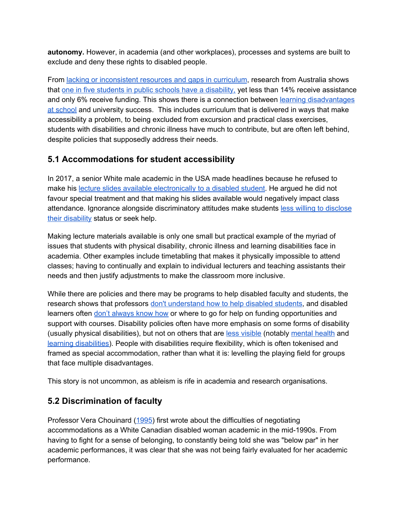**autonomy.** However, in academia (and other workplaces), processes and systems are built to exclude and deny these rights to disabled people.

From lacking or [inconsistent](https://www.humanrights.gov.au/publications/access-education-students-disability-barriers-and-difficulties) resources and gaps in curriculum, research from Australia shows that [o](https://www.theaustralian.com.au/national-affairs/education/one-in-five-students-has-a-disability-confidential-data/news-story/a3b1360c2185890344aa79e7f9097c73)ne in five students in public schools have a [disability,](https://www.theaustralian.com.au/national-affairs/education/one-in-five-students-has-a-disability-confidential-data/news-story/a3b1360c2185890344aa79e7f9097c73) yet less than 14% receive assistance and only 6% receive funding. This shows there is a connection betwee[n](https://theconversation.com/report-sparks-concern-about-how-schools-support-students-with-disabilities-78753) learning [disadvantages](https://theconversation.com/report-sparks-concern-about-how-schools-support-students-with-disabilities-78753) at [school](https://theconversation.com/report-sparks-concern-about-how-schools-support-students-with-disabilities-78753) and university success. This includes curriculum that is delivered in ways that make accessibility a problem, to being excluded from excursion and practical class exercises, students with disabilities and chronic illness have much to contribute, but are often left behind, despite policies that supposedly address their needs.

## **5.1 Accommodations for student accessibility**

In 2017, a senior White male academic in the USA made headlines because he refused to make his lecture slides available [electronically](https://www.insidehighered.com/news/2017/09/15/atmospheric-scientist-illinois-leave-after-refusing-provide-lecture-slides-student) to a disabled student. He argued he did not favour special treatment and that making his slides available would negatively impact class attendance. Ignorance alongside discriminatory attitudes make students less willing to [disclose](https://www.insidehighered.com/news/2014/04/02/students-disabilities-frustrated-ignorance-and-lack-services) their [disability](https://www.insidehighered.com/news/2014/04/02/students-disabilities-frustrated-ignorance-and-lack-services) status or seek help.

Making lecture materials available is only one small but practical example of the myriad of issues that students with physical disability, chronic illness and learning disabilities face in academia. Other examples include timetabling that makes it physically impossible to attend classes; having to continually and explain to individual lecturers and teaching assistants their needs and then justify adjustments to make the classroom more inclusive.

While there are policies and there may be programs to help disabled faculty and students, the research shows that professors [d](https://files.eric.ed.gov/fulltext/EJ896246.pdf)on't [understand](https://files.eric.ed.gov/fulltext/EJ896246.pdf) how to help disabled students, and disabled learners often don't [always](https://www.researchgate.net/publication/292366922_Requesting_classroom_accommodations_Self-advocacy_and_conflict_resolution_training_for_college_students_with_disabilities) know how or where to go for help on funding opportunities and support with courses. Disability policies often have more emphasis on some forms of disability (usually physical disabilities), but not on others that ar[e](https://eric.ed.gov/?id=EJ1107472) less [visible](https://eric.ed.gov/?id=EJ1107472) (notabl[y](https://www.theguardian.com/education/2014/apr/04/students-mental-health-where-to-get-help) [mental](https://www.theguardian.com/education/2014/apr/04/students-mental-health-where-to-get-help) health and learning [disabilities\)](https://www.tandfonline.com/doi/abs/10.1080/09518398.2011.590158). People with disabilities require flexibility, which is often tokenised and framed as special accommodation, rather than what it is: levelling the playing field for groups that face multiple disadvantages.

This story is not uncommon, as ableism is rife in academia and research organisations.

## **5.2 Discrimination of faculty**

Professor Vera Chouinard ([1995](https://www.questia.com/library/journal/1P3-448880061/like-alice-through-the-looking-glass-accommodation)) first wrote about the difficulties of negotiating accommodations as a White Canadian disabled woman academic in the mid-1990s. From having to fight for a sense of belonging, to constantly being told she was "below par" in her academic performances, it was clear that she was not being fairly evaluated for her academic performance.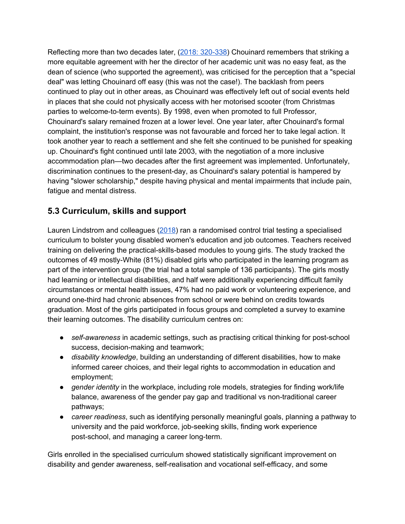Reflecting more than two decades later, (2018: [320-338\)](https://books.google.com.au/books?id=FcNWDwAAQBAJ&lpg=PP1&pg=PP1#v=onepage&q&f=false) Chouinard remembers that striking a more equitable agreement with her the director of her academic unit was no easy feat, as the dean of science (who supported the agreement), was criticised for the perception that a "special deal" was letting Chouinard off easy (this was not the case!). The backlash from peers continued to play out in other areas, as Chouinard was effectively left out of social events held in places that she could not physically access with her motorised scooter (from Christmas parties to welcome-to-term events). By 1998, even when promoted to full Professor, Chouinard's salary remained frozen at a lower level. One year later, after Chouinard's formal complaint, the institution's response was not favourable and forced her to take legal action. It took another year to reach a settlement and she felt she continued to be punished for speaking up. Chouinard's fight continued until late 2003, with the negotiation of a more inclusive accommodation plan—two decades after the first agreement was implemented. Unfortunately, discrimination continues to the present-day, as Chouinard's salary potential is hampered by having "slower scholarship," despite having physical and mental impairments that include pain, fatigue and mental distress.

## **5.3 Curriculum, skills and support**

Lauren Lindstrom and colleagues ([2018\)](https://www.researchgate.net/profile/Lauren_Lindstrom2/publication/325341771_Learning_to_Be_Myself_Paths_2_the_Future_Career_Development_Curriculum_for_Young_Women_With_Disabilities/links/5b364e780f7e9b0df5d99139/Learning-to-Be-Myself-Paths-2-the-Future-Career-Development-Curriculum-for-Young-Women-With-Disabilities.pdf) ran a randomised control trial testing a specialised curriculum to bolster young disabled women's education and job outcomes. Teachers received training on delivering the practical-skills-based modules to young girls. The study tracked the outcomes of 49 mostly-White (81%) disabled girls who participated in the learning program as part of the intervention group (the trial had a total sample of 136 participants). The girls mostly had learning or intellectual disabilities, and half were additionally experiencing difficult family circumstances or mental health issues, 47% had no paid work or volunteering experience, and around one-third had chronic absences from school or were behind on credits towards graduation. Most of the girls participated in focus groups and completed a survey to examine their learning outcomes. The disability curriculum centres on:

- *self-awareness* in academic settings, such as practising critical thinking for post-school success, decision-making and teamwork;
- *disability knowledge*, building an understanding of different disabilities, how to make informed career choices, and their legal rights to accommodation in education and employment;
- *gender identity* in the workplace, including role models, strategies for finding work/life balance, awareness of the gender pay gap and traditional vs non-traditional career pathways;
- *career readiness*, such as identifying personally meaningful goals, planning a pathway to university and the paid workforce, job-seeking skills, finding work experience post-school, and managing a career long-term.

Girls enrolled in the specialised curriculum showed statistically significant improvement on disability and gender awareness, self-realisation and vocational self-efficacy, and some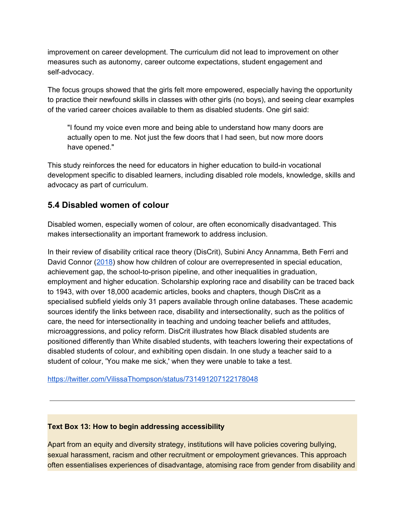improvement on career development. The curriculum did not lead to improvement on other measures such as autonomy, career outcome expectations, student engagement and self-advocacy.

The focus groups showed that the girls felt more empowered, especially having the opportunity to practice their newfound skills in classes with other girls (no boys), and seeing clear examples of the varied career choices available to them as disabled students. One girl said:

"I found my voice even more and being able to understand how many doors are actually open to me. Not just the few doors that I had seen, but now more doors have opened."

This study reinforces the need for educators in higher education to build-in vocational development specific to disabled learners, including disabled role models, knowledge, skills and advocacy as part of curriculum.

### **5.4 Disabled women of colour**

Disabled women, especially women of colour, are often economically disadvantaged. This makes intersectionality an important framework to address inclusion.

In their review of disability critical race theory (DisCrit), Subini Ancy Annamma, Beth Ferri and David Connor ([2018](http://journals.sagepub.com/doi/abs/10.3102/0091732X18759041)) show how children of colour are overrepresented in special education, achievement gap, the school-to-prison pipeline, and other inequalities in graduation, employment and higher education. Scholarship exploring race and disability can be traced back to 1943, with over 18,000 academic articles, books and chapters, though DisCrit as a specialised subfield yields only 31 papers available through online databases. These academic sources identify the links between race, disability and intersectionality, such as the politics of care, the need for intersectionality in teaching and undoing teacher beliefs and attitudes, microaggressions, and policy reform. DisCrit illustrates how Black disabled students are positioned differently than White disabled students, with teachers lowering their expectations of disabled students of colour, and exhibiting open disdain. In one study a teacher said to a student of colour, 'You make me sick,' when they were unable to take a test.

<https://twitter.com/VilissaThompson/status/731491207122178048>

#### **Text Box 13: How to begin addressing accessibility**

Apart from an equity and diversity strategy, institutions will have policies covering bullying, sexual harassment, racism and other recruitment or empoloyment grievances. This approach often essentialises experiences of disadvantage, atomising race from gender from disability and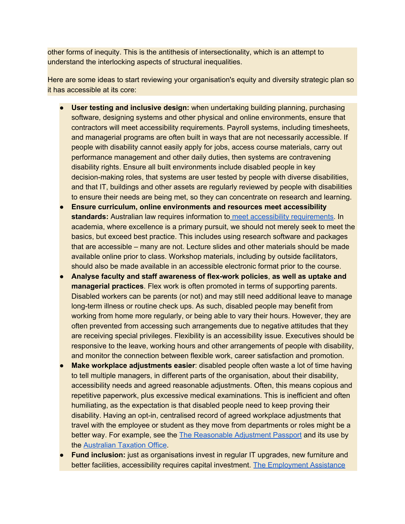other forms of inequity. This is the antithesis of intersectionality, which is an attempt to understand the interlocking aspects of structural inequalities.

Here are some ideas to start reviewing your organisation's equity and diversity strategic plan so it has accessible at its core:

- **User testing and inclusive design:** when undertaking building planning, purchasing software, designing systems and other physical and online environments, ensure that contractors will meet accessibility requirements. Payroll systems, including timesheets, and managerial programs are often built in ways that are not necessarily accessible. If people with disability cannot easily apply for jobs, access course materials, carry out performance management and other daily duties, then systems are contravening disability rights. Ensure all built environments include disabled people in key decision-making roles, that systems are user tested by people with diverse disabilities, and that IT, buildings and other assets are regularly reviewed by people with disabilities to ensure their needs are being met, so they can concentrate on research and learning.
- **Ensure curriculum, online environments and resources meet accessibility standards:** Australian law requires information to meet accessibility [requirements.](https://www.humanrights.gov.au/our-work/disability-rights/world-wide-web-access-disability-discrimination-act-advisory-notes-ver) In academia, where excellence is a primary pursuit, we should not merely seek to meet the basics, but exceed best practice. This includes using research software and packages that are accessible – many are not. Lecture slides and other materials should be made available online prior to class. Workshop materials, including by outside facilitators, should also be made available in an accessible electronic format prior to the course.
- **Analyse faculty and staff awareness of flex-work policies**, **as well as uptake and managerial practices**. Flex work is often promoted in terms of supporting parents. Disabled workers can be parents (or not) and may still need additional leave to manage long-term illness or routine check ups. As such, disabled people may benefit from working from home more regularly, or being able to vary their hours. However, they are often prevented from accessing such arrangements due to negative attitudes that they are receiving special privileges. Flexibility is an accessibility issue. Executives should be responsive to the leave, working hours and other arrangements of people with disability, and monitor the connection between flexible work, career satisfaction and promotion.
- **Make workplace adjustments easier:** disabled people often waste a lot of time having to tell multiple managers, in different parts of the organisation, about their disability, accessibility needs and agreed reasonable adjustments. Often, this means copious and repetitive paperwork, plus excessive medical examinations. This is inefficient and often humiliating, as the expectation is that disabled people need to keep proving their disability. Having an opt-in, centralised record of agreed workplace adjustments that travel with the employee or student as they move from departments or roles might be a better way. For example, see the The [Reasonable](https://www.apsc.gov.au/reasonable-adjustment-passport-guide) Adjustment Passport and its use by the [Australian](https://www.and.org.au/news.php/274/australian-taxation-office-innovates-through-workplace-adjustments) Taxation Office.
- **Fund inclusion:** just as organisations invest in regular IT upgrades, new furniture and better facilities, accessibility requires capital investment. [T](https://www.business.gov.au/Grants-and-Programs/Employment-Assistance-Fund)he [Employment](https://www.business.gov.au/Grants-and-Programs/Employment-Assistance-Fund) Assistance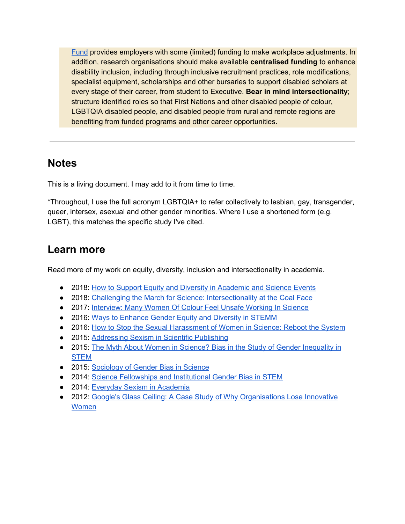[Fund](https://www.business.gov.au/Grants-and-Programs/Employment-Assistance-Fund) provides employers with some (limited) funding to make workplace adjustments. In addition, research organisations should make available **centralised funding** to enhance disability inclusion, including through inclusive recruitment practices, role modifications, specialist equipment, scholarships and other bursaries to support disabled scholars at every stage of their career, from student to Executive. **Bear in mind intersectionality**; structure identified roles so that First Nations and other disabled people of colour, LGBTQIA disabled people, and disabled people from rural and remote regions are benefiting from funded programs and other career opportunities.

## **Notes**

This is a living document. I may add to it from time to time.

\*Throughout, I use the full acronym LGBTQIA+ to refer collectively to lesbian, gay, transgender, queer, intersex, asexual and other gender minorities. Where I use a shortened form (e.g. LGBT), this matches the specific study I've cited.

## **Learn more**

Read more of my work on equity, diversity, inclusion and intersectionality in academia.

- 2018: [H](http://othersociologist.com/how-to-support-equity-and-diversity-in-academic-and-science-events/)ow to Support Equity and Diversity in [Academic](http://othersociologist.com/how-to-support-equity-and-diversity-in-academic-and-science-events/) and Science Events
- 2018: Challenging the March for Science: [Intersectionality](https://othersociologist.com/2018/04/14/challenging-the-march-for-science-intersectionality-at-the-coal-face/) at the Coal Face
- 2017: [Interview:](http://othersociologist.com/2017/07/11/interview-many-women-of-colour-feel-unsafe-working-in-science/) Many Women Of Colour Feel Unsafe Working In Science
- 2016: [W](http://othersociologist.com/2016/06/23/ways-to-enhance-gender-equity-and-diversity-in-stemm/)ays to [Enhance](http://othersociologist.com/2016/06/23/ways-to-enhance-gender-equity-and-diversity-in-stemm/) Gender Equity and Diversity in STEMM
- 2016: [H](http://othersociologist.com/2016/02/06/how-to-stop-the-sexual-harassment-of-women-in-science-reboot-the-system/)ow to Stop the Sexual [Harassment](http://othersociologist.com/2016/02/06/how-to-stop-the-sexual-harassment-of-women-in-science-reboot-the-system/) of Women in Science: Reboot the System
- 2015: [Addressing](http://othersociologist.com/2015/05/05/addressing-sexism-in-science-publishing/) Sexism in Scientific Publishing
- 2015: [T](http://othersociologist.com/2015/04/16/myth-about-women-in-science/)he Myth About Women in Science? Bias in the Study of Gender [Inequality](http://othersociologist.com/2015/04/16/myth-about-women-in-science/) in [STEM](http://othersociologist.com/2015/04/16/myth-about-women-in-science/)
- 2015: [Sociology](http://othersociologist.com/2015/01/19/sociology-gender-bias-science/) of Gender Bias in Science
- 2014: [S](http://othersociologist.com/2014/11/01/royal-society-fellowship-gender-bias-stem/)cience [Fellowships](http://othersociologist.com/2014/11/01/royal-society-fellowship-gender-bias-stem/) and Institutional Gender Bias in STEM
- 2014: [E](http://othersociologist.com/2014/04/12/everyday-sexism-in-academia/)veryday Sexism in [Academia](http://othersociologist.com/2014/04/12/everyday-sexism-in-academia/)
- 2012: [G](http://othersociologist.com/2012/09/30/google-glass-ceiling/)oogle's Glass Ceiling: A Case Study of Why [Organisations](http://othersociologist.com/2012/09/30/google-glass-ceiling/) Lose Innovative [Women](http://othersociologist.com/2012/09/30/google-glass-ceiling/)